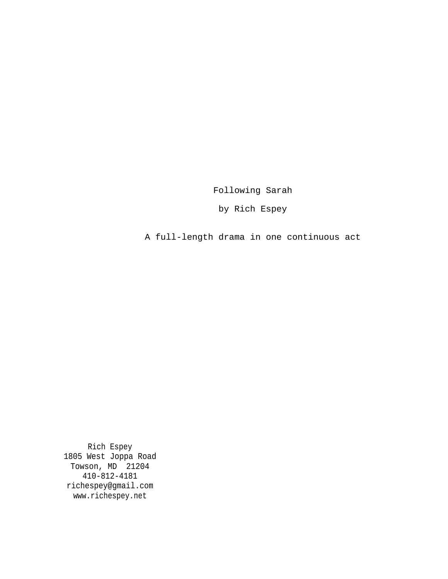Following Sarah

by Rich Espey

A full-length drama in one continuous act

Rich Espey 1805 West Joppa Road Towson, MD 21204 410-812-4181 richespey@gmail.com www.richespey.net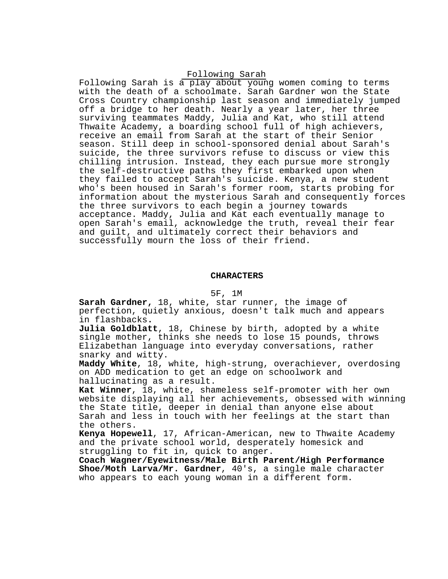# Following Sarah

Following Sarah is a play about young women coming to terms with the death of a schoolmate. Sarah Gardner won the State Cross Country championship last season and immediately jumped off a bridge to her death. Nearly a year later, her three surviving teammates Maddy, Julia and Kat, who still attend Thwaite Academy, a boarding school full of high achievers, receive an email from Sarah at the start of their Senior season. Still deep in school-sponsored denial about Sarah's suicide, the three survivors refuse to discuss or view this chilling intrusion. Instead, they each pursue more strongly the self-destructive paths they first embarked upon when they failed to accept Sarah's suicide. Kenya, a new student who's been housed in Sarah's former room, starts probing for information about the mysterious Sarah and consequently forces the three survivors to each begin a journey towards acceptance. Maddy, Julia and Kat each eventually manage to open Sarah's email, acknowledge the truth, reveal their fear and guilt, and ultimately correct their behaviors and successfully mourn the loss of their friend.

## **CHARACTERS**

# 5F, 1M

**Sarah Gardner,** 18, white, star runner, the image of perfection, quietly anxious, doesn't talk much and appears in flashbacks**.**

**Julia Goldblatt**, 18, Chinese by birth, adopted by a white single mother, thinks she needs to lose 15 pounds, throws Elizabethan language into everyday conversations, rather snarky and witty.

**Maddy White**, 18, white, high-strung, overachiever, overdosing on ADD medication to get an edge on schoolwork and hallucinating as a result.

**Kat Winner**, 18, white, shameless self-promoter with her own website displaying all her achievements, obsessed with winning the State title, deeper in denial than anyone else about Sarah and less in touch with her feelings at the start than the others.

**Kenya Hopewell**, 17, African-American, new to Thwaite Academy and the private school world, desperately homesick and struggling to fit in, quick to anger.

**Coach Wagner/Eyewitness/Male Birth Parent/High Performance Shoe/Moth Larva/Mr. Gardner**, 40's, a single male character who appears to each young woman in a different form.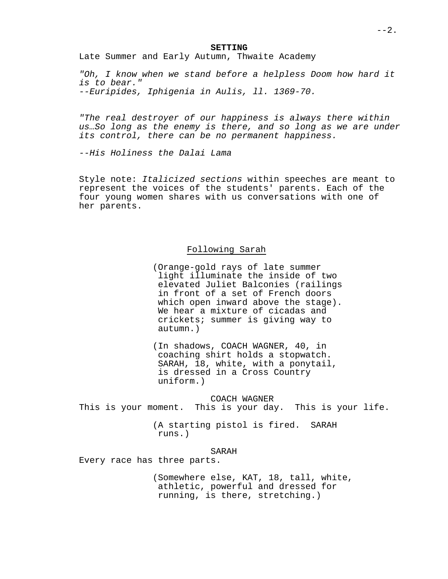Late Summer and Early Autumn, Thwaite Academy

"Oh, I know when we stand before a helpless Doom how hard it is to bear." --Euripides, Iphigenia in Aulis, ll. 1369-70.

"The real destroyer of our happiness is always there within us…So long as the enemy is there, and so long as we are under its control, there can be no permanent happiness.

--His Holiness the Dalai Lama

Style note: Italicized sections within speeches are meant to represent the voices of the students' parents. Each of the four young women shares with us conversations with one of her parents.

# Following Sarah

(Orange-gold rays of late summer light illuminate the inside of two elevated Juliet Balconies (railings in front of a set of French doors which open inward above the stage). We hear a mixture of cicadas and crickets; summer is giving way to autumn.)

(In shadows, COACH WAGNER, 40, in coaching shirt holds a stopwatch. SARAH, 18, white, with a ponytail, is dressed in a Cross Country uniform.)

COACH WAGNER This is your moment. This is your day. This is your life.

> (A starting pistol is fired. SARAH runs.)

> > SARAH

Every race has three parts.

(Somewhere else, KAT, 18, tall, white, athletic, powerful and dressed for running, is there, stretching.)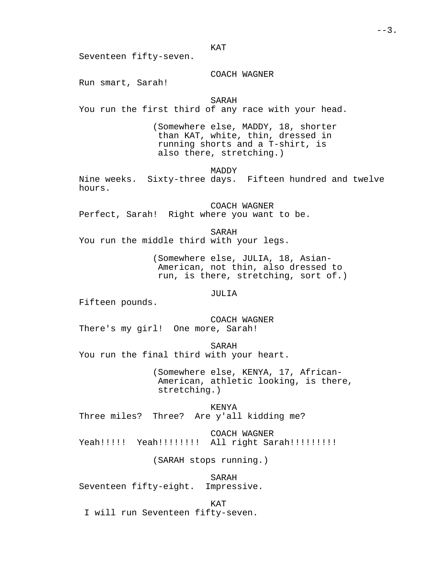KAT

Seventeen fifty-seven.

# COACH WAGNER

Run smart, Sarah!

# SARAH

You run the first third of any race with your head.

(Somewhere else, MADDY, 18, shorter than KAT, white, thin, dressed in running shorts and a T-shirt, is also there, stretching.)

MADDY

Nine weeks. Sixty-three days. Fifteen hundred and twelve hours.

COACH WAGNER Perfect, Sarah! Right where you want to be.

SARAH You run the middle third with your legs.

> (Somewhere else, JULIA, 18, Asian-American, not thin, also dressed to run, is there, stretching, sort of.)

> > JULIA

Fifteen pounds.

COACH WAGNER There's my girl! One more, Sarah!

SARAH You run the final third with your heart.

> (Somewhere else, KENYA, 17, African-American, athletic looking, is there, stretching.)

KENYA Three miles? Three? Are y'all kidding me?

COACH WAGNER Yeah!!!!! Yeah!!!!!!!! All right Sarah!!!!!!!!!

(SARAH stops running.)

SARAH

Seventeen fifty-eight. Impressive.

KAT

I will run Seventeen fifty-seven.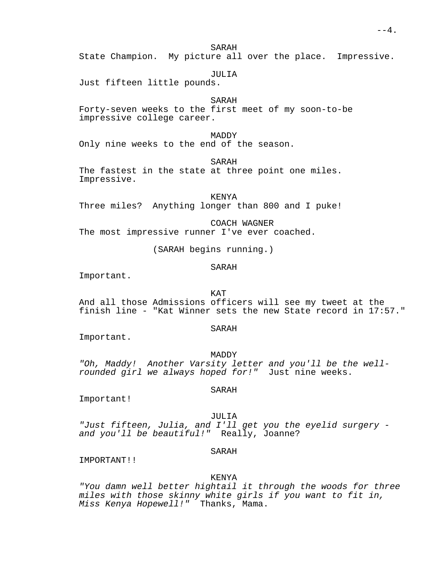SARAH

State Champion. My picture all over the place. Impressive.

JULIA

Just fifteen little pounds.

SARAH

Forty-seven weeks to the first meet of my soon-to-be impressive college career.

MADDY

Only nine weeks to the end of the season.

SARAH

The fastest in the state at three point one miles. Impressive.

KENYA

Three miles? Anything longer than 800 and I puke!

COACH WAGNER The most impressive runner I've ever coached.

(SARAH begins running.)

SARAH

Important.

KAT

And all those Admissions officers will see my tweet at the finish line - "Kat Winner sets the new State record in 17:57."

SARAH

Important.

MADDY "Oh, Maddy! Another Varsity letter and you'll be the wellrounded girl we always hoped for!" Just nine weeks.

SARAH

Important!

JULIA

"Just fifteen, Julia, and I'll get you the eyelid surgery and you'll be beautiful!" Really, Joanne?

# SARAH

IMPORTANT!!

# KENYA

"You damn well better hightail it through the woods for three miles with those skinny white girls if you want to fit in, Miss Kenya Hopewell!" Thanks, Mama.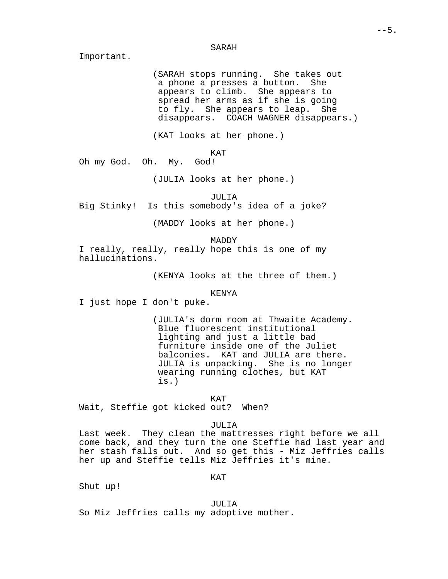#### SARAH

Important.

(SARAH stops running. She takes out a phone a presses a button. She appears to climb. She appears to spread her arms as if she is going to fly. She appears to leap. She disappears. COACH WAGNER disappears.)

(KAT looks at her phone.)

KAT

Oh my God. Oh. My. God!

(JULIA looks at her phone.)

JULIA

Big Stinky! Is this somebody's idea of a joke?

(MADDY looks at her phone.)

MADDY

I really, really, really hope this is one of my hallucinations.

(KENYA looks at the three of them.)

KENYA

I just hope I don't puke.

(JULIA's dorm room at Thwaite Academy. Blue fluorescent institutional lighting and just a little bad furniture inside one of the Juliet balconies. KAT and JULIA are there. JULIA is unpacking. She is no longer wearing running clothes, but KAT is.)

KAT

Wait, Steffie got kicked out? When?

JULIA

Last week. They clean the mattresses right before we all come back, and they turn the one Steffie had last year and her stash falls out. And so get this - Miz Jeffries calls her up and Steffie tells Miz Jeffries it's mine.

KAT

Shut up!

JULIA

So Miz Jeffries calls my adoptive mother.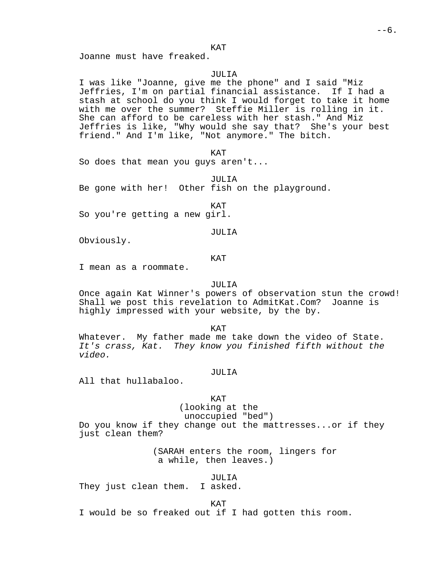## KAT

Joanne must have freaked.

## JULIA

I was like "Joanne, give me the phone" and I said "Miz Jeffries, I'm on partial financial assistance. If I had a stash at school do you think I would forget to take it home with me over the summer? Steffie Miller is rolling in it. She can afford to be careless with her stash." And Miz Jeffries is like, "Why would she say that? She's your best friend." And I'm like, "Not anymore." The bitch.

KAT

So does that mean you guys aren't...

JULIA Be gone with her! Other fish on the playground.

KAT

So you're getting a new girl.

# JULIA

Obviously.

## KAT

I mean as a roommate.

## JULIA

Once again Kat Winner's powers of observation stun the crowd! Shall we post this revelation to AdmitKat.Com? Joanne is highly impressed with your website, by the by.

KAT

Whatever. My father made me take down the video of State. It's crass, Kat. They know you finished fifth without the video.

# JULIA

All that hullabaloo.

# KAT (looking at the

# unoccupied "bed")

Do you know if they change out the mattresses...or if they just clean them?

> (SARAH enters the room, lingers for a while, then leaves.)

# JULIA

They just clean them. I asked.

KAT

I would be so freaked out if I had gotten this room.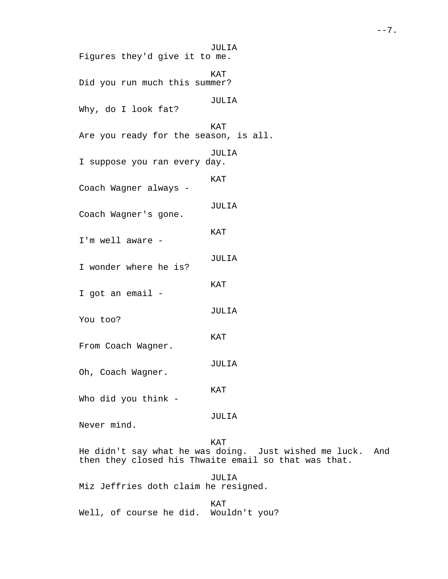JULIA Figures they'd give it to me. KAT Did you run much this summer? JULIA Why, do I look fat? KAT Are you ready for the season, is all. JULIA I suppose you ran every day. KAT Coach Wagner always - JULIA Coach Wagner's gone. KAT I'm well aware - JULIA I wonder where he is? KAT I got an email - JULIA You too? KAT From Coach Wagner. JULIA Oh, Coach Wagner. KAT Who did you think - JULIA Never mind. KAT He didn't say what he was doing. Just wished me luck. And then they closed his Thwaite email so that was that. JULIA Miz Jeffries doth claim he resigned. KAT Well, of course he did. Wouldn't you?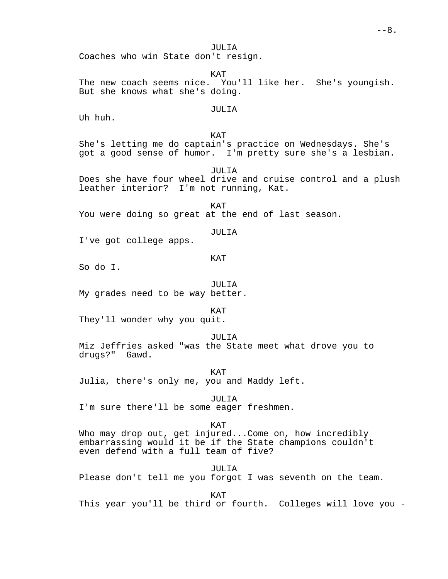JULIA Coaches who win State don't resign.

KAT The new coach seems nice. You'll like her. She's youngish. But she knows what she's doing.

# JULIA

Uh huh.

KAT She's letting me do captain's practice on Wednesdays. She's got a good sense of humor. I'm pretty sure she's a lesbian.

JULIA Does she have four wheel drive and cruise control and a plush leather interior? I'm not running, Kat.

KAT You were doing so great at the end of last season.

# JULIA

I've got college apps.

# KAT

So do I.

JULIA

My grades need to be way better.

KAT

They'll wonder why you quit.

JULIA

Miz Jeffries asked "was the State meet what drove you to drugs?" Gawd.

KAT

Julia, there's only me, you and Maddy left.

JULIA

I'm sure there'll be some eager freshmen.

KAT

Who may drop out, get injured...Come on, how incredibly embarrassing would it be if the State champions couldn't even defend with a full team of five?

JULIA Please don't tell me you forgot I was seventh on the team.

KAT

This year you'll be third or fourth. Colleges will love you -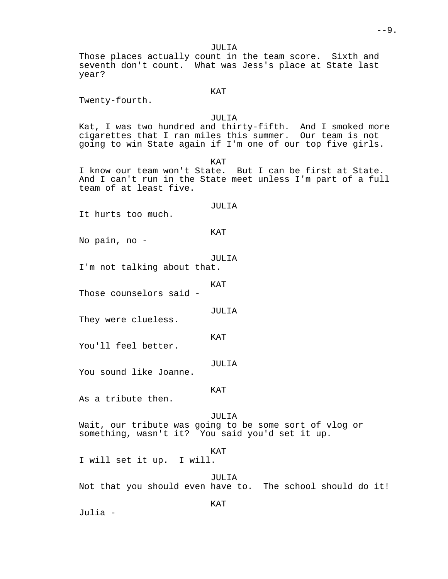Those places actually count in the team score. Sixth and seventh don't count. What was Jess's place at State last year?

KAT

Twenty-fourth.

JULIA

Kat, I was two hundred and thirty-fifth. And I smoked more cigarettes that I ran miles this summer. Our team is not going to win State again if I'm one of our top five girls.

KAT

I know our team won't State. But I can be first at State. And I can't run in the State meet unless I'm part of a full team of at least five.

# JULIA

It hurts too much.

## KAT

No pain, no -

#### JULIA

I'm not talking about that.

KAT

Those counselors said -

JULIA

They were clueless.

KAT

You'll feel better.

JULIA

You sound like Joanne.

## KAT

As a tribute then.

## JULIA

Wait, our tribute was going to be some sort of vlog or something, wasn't it? You said you'd set it up.

## KAT

I will set it up. I will.

#### JULIA

Not that you should even have to. The school should do it!

KAT

Julia -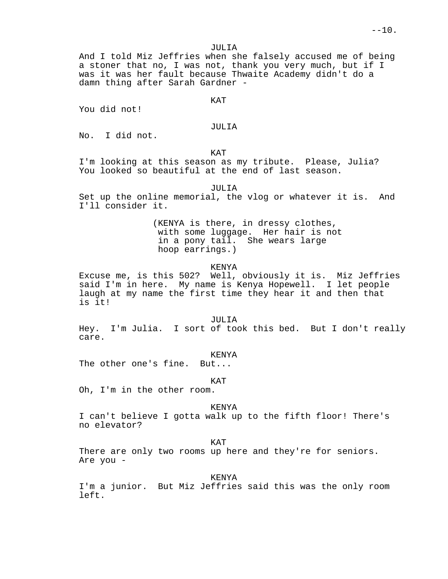And I told Miz Jeffries when she falsely accused me of being a stoner that no, I was not, thank you very much, but if I was it was her fault because Thwaite Academy didn't do a damn thing after Sarah Gardner -

KAT

You did not!

## JULIA

No. I did not.

KAT

I'm looking at this season as my tribute. Please, Julia? You looked so beautiful at the end of last season.

# JULIA

Set up the online memorial, the vlog or whatever it is. And I'll consider it.

> (KENYA is there, in dressy clothes, with some luggage. Her hair is not in a pony tail. She wears large hoop earrings.)

# KENYA

Excuse me, is this 502? Well, obviously it is. Miz Jeffries said I'm in here. My name is Kenya Hopewell. I let people laugh at my name the first time they hear it and then that is it!

#### JULIA

Hey. I'm Julia. I sort of took this bed. But I don't really care.

## KENYA

The other one's fine. But...

KAT

Oh, I'm in the other room.

#### KENYA

I can't believe I gotta walk up to the fifth floor! There's no elevator?

KAT

There are only two rooms up here and they're for seniors. Are you -

#### KENYA

I'm a junior. But Miz Jeffries said this was the only room left.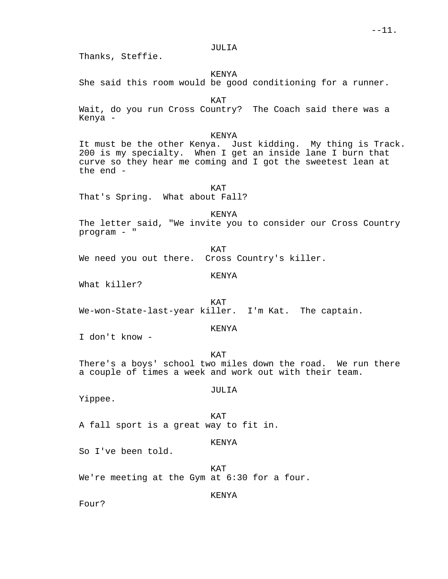Thanks, Steffie.

# KENYA

She said this room would be good conditioning for a runner.

KAT

Wait, do you run Cross Country? The Coach said there was a Kenya -

# KENYA

It must be the other Kenya. Just kidding. My thing is Track. 200 is my specialty. When I get an inside lane I burn that curve so they hear me coming and I got the sweetest lean at the end -

KAT That's Spring. What about Fall?

KENYA

The letter said, "We invite you to consider our Cross Country program - "

KAT We need you out there. Cross Country's killer.

## KENYA

What killer?

KAT We-won-State-last-year killer. I'm Kat. The captain.

# KENYA

I don't know -

KAT There's a boys' school two miles down the road. We run there a couple of times a week and work out with their team.

# JULIA

Yippee.

KAT A fall sport is a great way to fit in.

# KENYA

So I've been told.

KAT We're meeting at the Gym at 6:30 for a four.

# KENYA

Four?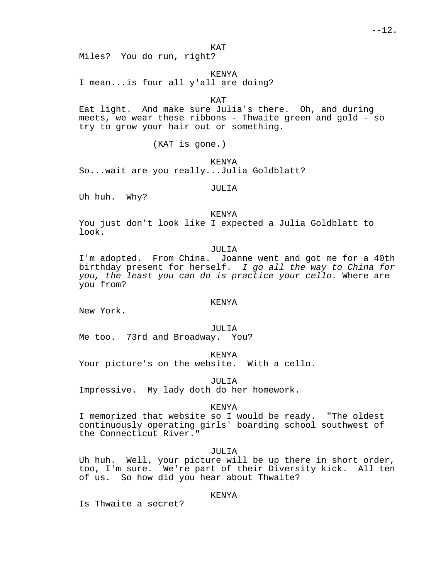KAT

Miles? You do run, right?

KENYA

I mean...is four all y'all are doing?

KAT

Eat light. And make sure Julia's there. Oh, and during meets, we wear these ribbons - Thwaite green and gold - so try to grow your hair out or something.

(KAT is gone.)

KENYA

So...wait are you really...Julia Goldblatt?

JULIA

Uh huh. Why?

#### KENYA

You just don't look like I expected a Julia Goldblatt to look.

JULIA

I'm adopted. From China. Joanne went and got me for a 40th birthday present for herself. I go all the way to China for you, the least you can do is practice your cello. Where are you from?

## KENYA

New York.

JULIA

Me too. 73rd and Broadway. You?

KENYA

Your picture's on the website. With a cello.

JULIA Impressive. My lady doth do her homework.

KENYA

I memorized that website so I would be ready. "The oldest continuously operating girls' boarding school southwest of the Connecticut River."

JULIA

Uh huh. Well, your picture will be up there in short order, too, I'm sure. We're part of their Diversity kick. All ten of us. So how did you hear about Thwaite?

KENYA

Is Thwaite a secret?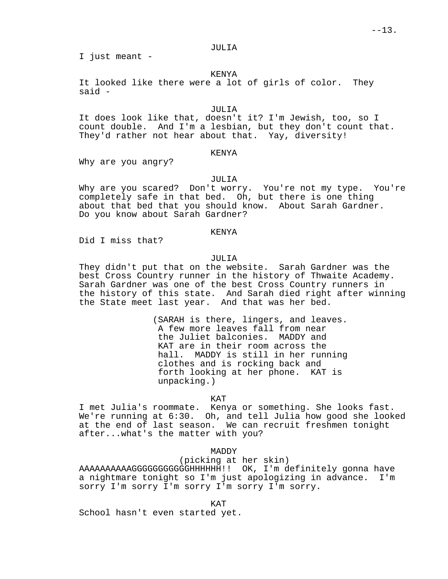I just meant -

# KENYA

It looked like there were a lot of girls of color. They said -

# JULIA

It does look like that, doesn't it? I'm Jewish, too, so I count double. And I'm a lesbian, but they don't count that. They'd rather not hear about that. Yay, diversity!

# KENYA

Why are you angry?

# JULIA

Why are you scared? Don't worry. You're not my type. You're completely safe in that bed. Oh, but there is one thing about that bed that you should know. About Sarah Gardner. Do you know about Sarah Gardner?

# KENYA

Did I miss that?

# JULIA

They didn't put that on the website. Sarah Gardner was the best Cross Country runner in the history of Thwaite Academy. Sarah Gardner was one of the best Cross Country runners in the history of this state. And Sarah died right after winning the State meet last year. And that was her bed.

> (SARAH is there, lingers, and leaves. A few more leaves fall from near the Juliet balconies. MADDY and KAT are in their room across the hall. MADDY is still in her running clothes and is rocking back and forth looking at her phone. KAT is unpacking.)

#### KAT

I met Julia's roommate. Kenya or something. She looks fast. We're running at 6:30. Oh, and tell Julia how good she looked at the end of last season. We can recruit freshmen tonight after...what's the matter with you?

# MADDY

(picking at her skin)

AAAAAAAAAAGGGGGGGGGGGHHHHHH!! OK, I'm definitely gonna have a nightmare tonight so I'm just apologizing in advance. I'm sorry I'm sorry I'm sorry I'm sorry I'm sorry.

KAT

School hasn't even started yet.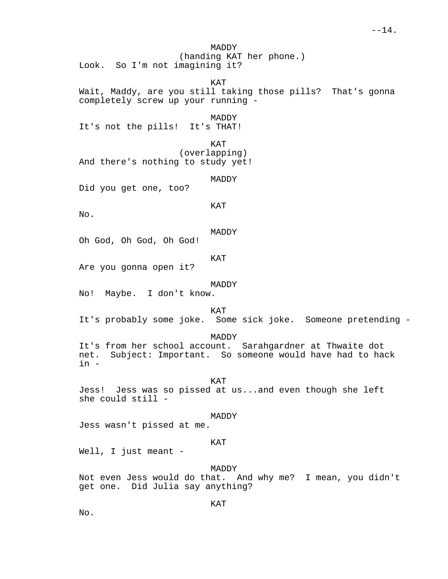MADDY (handing KAT her phone.) Look. So I'm not imagining it?

KAT

Wait, Maddy, are you still taking those pills? That's gonna completely screw up your running -

MADDY

It's not the pills! It's THAT!

KAT (overlapping) And there's nothing to study yet!

MADDY

Did you get one, too?

KAT

No.

MADDY

Oh God, Oh God, Oh God!

KAT

Are you gonna open it?

MADDY

No! Maybe. I don't know.

KAT

It's probably some joke. Some sick joke. Someone pretending -

MADDY

It's from her school account. Sarahgardner at Thwaite dot net. Subject: Important. So someone would have had to hack in -

KAT

Jess! Jess was so pissed at us...and even though she left she could still -

MADDY

Jess wasn't pissed at me.

# KAT

Well, I just meant -

MADDY

Not even Jess would do that. And why me? I mean, you didn't get one. Did Julia say anything?

KAT

No.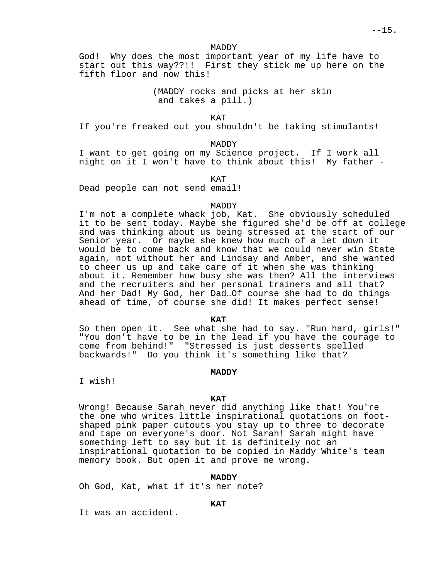God! Why does the most important year of my life have to start out this way??!! First they stick me up here on the fifth floor and now this!

> (MADDY rocks and picks at her skin and takes a pill.)

> > KAT

If you're freaked out you shouldn't be taking stimulants!

MADDY

I want to get going on my Science project. If I work all night on it I won't have to think about this! My father -

KAT

Dead people can not send email!

# MADDY

I'm not a complete whack job, Kat. She obviously scheduled it to be sent today. Maybe she figured she'd be off at college and was thinking about us being stressed at the start of our Senior year. Or maybe she knew how much of a let down it would be to come back and know that we could never win State again, not without her and Lindsay and Amber, and she wanted to cheer us up and take care of it when she was thinking about it. Remember how busy she was then? All the interviews and the recruiters and her personal trainers and all that? And her Dad! My God, her Dad…Of course she had to do things ahead of time, of course she did! It makes perfect sense!

**KAT**

So then open it. See what she had to say. "Run hard, girls!" "You don't have to be in the lead if you have the courage to come from behind!" "Stressed is just desserts spelled backwards!" Do you think it's something like that?

## **MADDY**

I wish!

## **KAT**

Wrong! Because Sarah never did anything like that! You're the one who writes little inspirational quotations on footshaped pink paper cutouts you stay up to three to decorate and tape on everyone's door. Not Sarah! Sarah might have something left to say but it is definitely not an inspirational quotation to be copied in Maddy White's team memory book. But open it and prove me wrong.

## **MADDY**

Oh God, Kat, what if it's her note?

## **KAT**

It was an accident.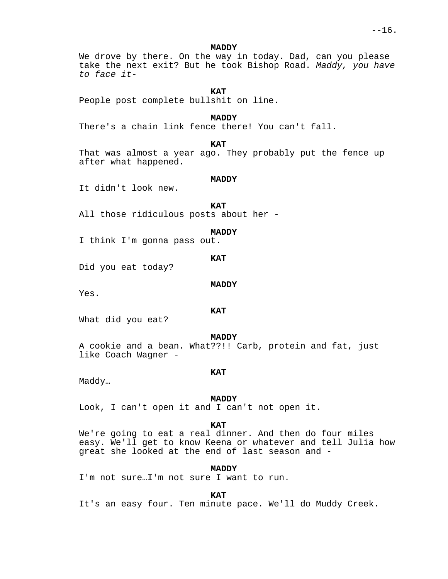We drove by there. On the way in today. Dad, can you please take the next exit? But he took Bishop Road. Maddy, you have to face it-

**KAT**

People post complete bullshit on line.

**MADDY**

There's a chain link fence there! You can't fall.

**KAT**

That was almost a year ago. They probably put the fence up after what happened.

#### **MADDY**

It didn't look new.

**KAT**

All those ridiculous posts about her -

## **MADDY**

I think I'm gonna pass out.

**KAT**

Did you eat today?

#### **MADDY**

Yes.

**KAT**

What did you eat?

**MADDY**

A cookie and a bean. What??!! Carb, protein and fat, just like Coach Wagner -

## **KAT**

Maddy…

#### **MADDY**

Look, I can't open it and I can't not open it.

#### **KAT**

We're going to eat a real dinner. And then do four miles easy. We'll get to know Keena or whatever and tell Julia how great she looked at the end of last season and -

## **MADDY**

I'm not sure…I'm not sure I want to run.

**KAT**

It's an easy four. Ten minute pace. We'll do Muddy Creek.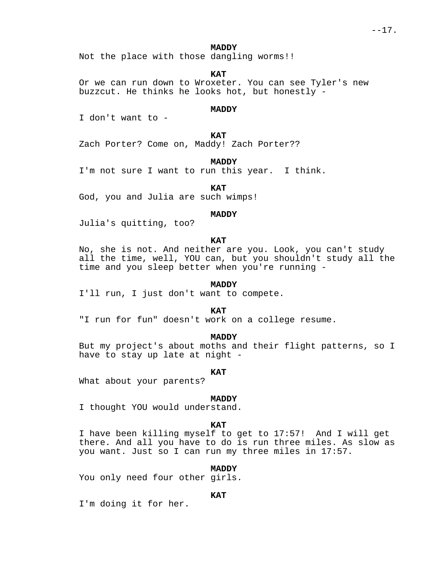Not the place with those dangling worms!!

**KAT**

Or we can run down to Wroxeter. You can see Tyler's new buzzcut. He thinks he looks hot, but honestly -

# **MADDY**

I don't want to -

**KAT**

Zach Porter? Come on, Maddy! Zach Porter??

**MADDY**

I'm not sure I want to run this year. I think.

**KAT**

God, you and Julia are such wimps!

#### **MADDY**

Julia's quitting, too?

# **KAT**

No, she is not. And neither are you. Look, you can't study all the time, well, YOU can, but you shouldn't study all the time and you sleep better when you're running -

#### **MADDY**

I'll run, I just don't want to compete.

**KAT**

"I run for fun" doesn't work on a college resume.

#### **MADDY**

But my project's about moths and their flight patterns, so I have to stay up late at night -

#### **KAT**

What about your parents?

#### **MADDY**

I thought YOU would understand.

## **KAT**

I have been killing myself to get to 17:57! And I will get there. And all you have to do is run three miles. As slow as you want. Just so I can run my three miles in 17:57.

#### **MADDY**

You only need four other girls.

# **KAT**

I'm doing it for her.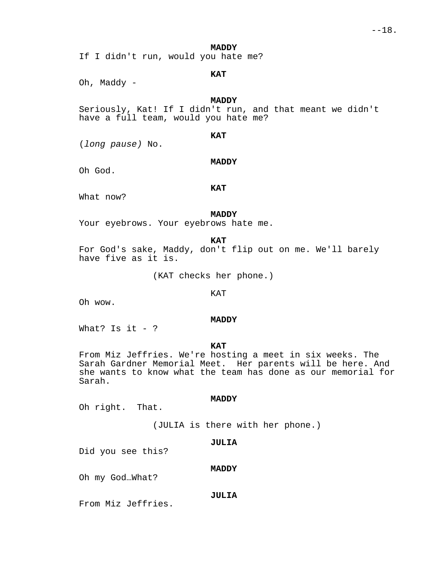If I didn't run, would you hate me?

# **KAT**

Oh, Maddy -

# **MADDY**

Seriously, Kat! If I didn't run, and that meant we didn't have a full team, would you hate me?

# **KAT**

(long pause) No.

## **MADDY**

Oh God.

## **KAT**

What now?

#### **MADDY**

Your eyebrows. Your eyebrows hate me.

**KAT**

For God's sake, Maddy, don't flip out on me. We'll barely have five as it is.

(KAT checks her phone.)

# KAT

Oh wow.

#### **MADDY**

What? Is it  $-$  ?

**KAT**

From Miz Jeffries. We're hosting a meet in six weeks. The Sarah Gardner Memorial Meet. Her parents will be here. And she wants to know what the team has done as our memorial for Sarah.

## **MADDY**

Oh right. That.

(JULIA is there with her phone.)

# **JULIA**

Did you see this?

**MADDY**

Oh my God…What?

# **JULIA**

From Miz Jeffries.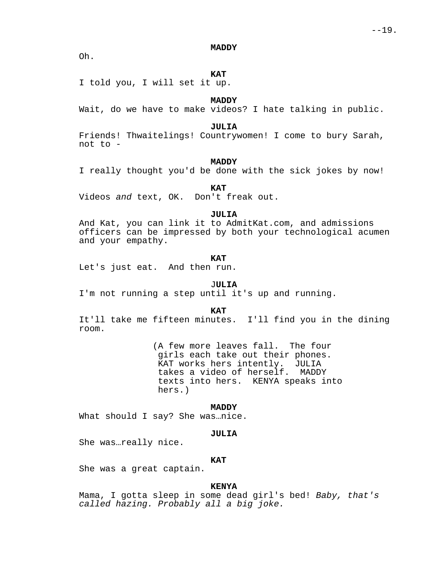Oh.

# **KAT**

I told you, I will set it up.

# **MADDY**

Wait, do we have to make videos? I hate talking in public.

## **JULIA**

Friends! Thwaitelings! Countrywomen! I come to bury Sarah, not to -

# **MADDY**

I really thought you'd be done with the sick jokes by now!

**KAT**

Videos and text, OK. Don't freak out.

#### **JULIA**

And Kat, you can link it to AdmitKat.com, and admissions officers can be impressed by both your technological acumen and your empathy.

## **KAT**

Let's just eat. And then run.

## J**ULIA**

I'm not running a step until it's up and running.

**KAT**

It'll take me fifteen minutes. I'll find you in the dining room.

> (A few more leaves fall. The four girls each take out their phones. KAT works hers intently. JULIA takes a video of herself. MADDY texts into hers. KENYA speaks into hers.)

#### **MADDY**

What should I say? She was…nice.

#### **JULIA**

She was…really nice.

# **KAT**

She was a great captain.

# **KENYA**

Mama, I gotta sleep in some dead girl's bed! Baby, that's called hazing. Probably all a big joke.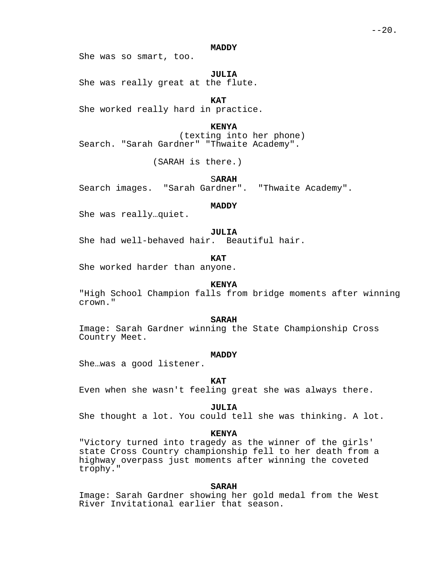She was so smart, too.

**JULIA**

She was really great at the flute.

**KAT**

She worked really hard in practice.

**KENYA**

(texting into her phone) Search. "Sarah Gardner" "Thwaite Academy".

(SARAH is there.)

S**ARAH**

Search images. "Sarah Gardner". "Thwaite Academy".

**MADDY**

She was really…quiet.

**JULIA**

She had well-behaved hair. Beautiful hair.

**KAT**

She worked harder than anyone.

# **KENYA**

"High School Champion falls from bridge moments after winning crown."

**SARAH**

Image: Sarah Gardner winning the State Championship Cross Country Meet.

## **MADDY**

She…was a good listener.

# **KAT**

Even when she wasn't feeling great she was always there.

## **JULIA**

She thought a lot. You could tell she was thinking. A lot.

# **KENYA**

"Victory turned into tragedy as the winner of the girls' state Cross Country championship fell to her death from a highway overpass just moments after winning the coveted trophy."

# **SARAH**

Image: Sarah Gardner showing her gold medal from the West River Invitational earlier that season.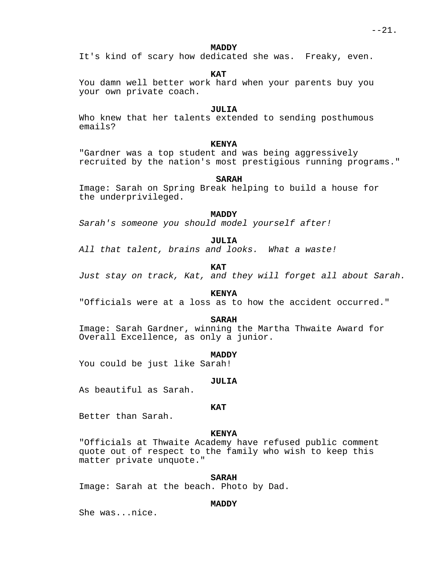It's kind of scary how dedicated she was. Freaky, even.

**KAT**

You damn well better work hard when your parents buy you your own private coach.

# **JULIA**

Who knew that her talents extended to sending posthumous emails?

# **KENYA**

"Gardner was a top student and was being aggressively recruited by the nation's most prestigious running programs."

#### **SARAH**

Image: Sarah on Spring Break helping to build a house for the underprivileged.

## **MADDY**

Sarah's someone you should model yourself after!

**JULIA**

All that talent, brains and looks. What a waste!

**KAT**

Just stay on track, Kat, and they will forget all about Sarah.

**KENYA**

"Officials were at a loss as to how the accident occurred."

# **SARAH**

Image: Sarah Gardner, winning the Martha Thwaite Award for Overall Excellence, as only a junior.

**MADDY**

You could be just like Sarah!

#### **JULIA**

As beautiful as Sarah.

## **KAT**

Better than Sarah.

# **KENYA**

"Officials at Thwaite Academy have refused public comment quote out of respect to the family who wish to keep this matter private unquote."

# **SARAH**

Image: Sarah at the beach. Photo by Dad.

## **MADDY**

She was...nice.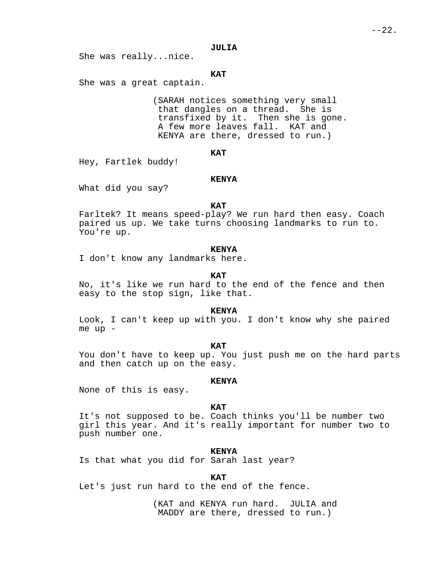She was really...nice.

# **KAT**

She was a great captain.

(SARAH notices something very small that dangles on a thread. She is transfixed by it. Then she is gone. A few more leaves fall. KAT and KENYA are there, dressed to run.)

# **KAT**

Hey, Fartlek buddy!

## **KENYA**

What did you say?

# **KAT**

Farltek? It means speed-play? We run hard then easy. Coach paired us up. We take turns choosing landmarks to run to. You're up.

# **KENYA**

I don't know any landmarks here.

## **KAT**

No, it's like we run hard to the end of the fence and then easy to the stop sign, like that.

#### **KENYA**

Look, I can't keep up with you. I don't know why she paired me up -

# **KAT**

You don't have to keep up. You just push me on the hard parts and then catch up on the easy.

#### **KENYA**

None of this is easy.

#### **KAT**

It's not supposed to be. Coach thinks you'll be number two girl this year. And it's really important for number two to push number one.

#### **KENYA**

Is that what you did for Sarah last year?

# **KAT**

Let's just run hard to the end of the fence.

(KAT and KENYA run hard. JULIA and MADDY are there, dressed to run.)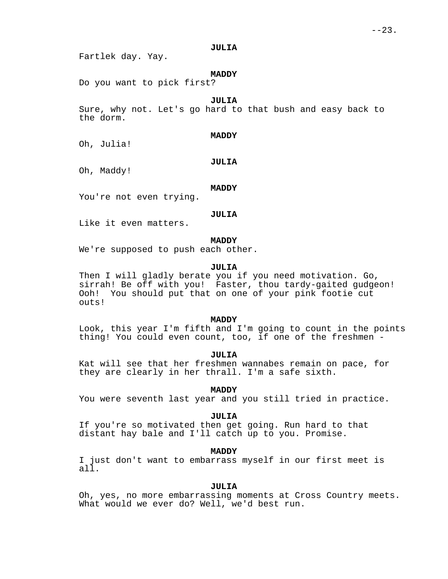Fartlek day. Yay.

# **MADDY**

Do you want to pick first?

# **JULIA**

Sure, why not. Let's go hard to that bush and easy back to the dorm.

#### **MADDY**

Oh, Julia!

## **JULIA**

Oh, Maddy!

#### **MADDY**

You're not even trying.

#### **JULIA**

Like it even matters.

# **MADDY**

We're supposed to push each other.

# **JULIA**

Then I will gladly berate you if you need motivation. Go, sirrah! Be off with you! Faster, thou tardy-gaited gudgeon! Ooh! You should put that on one of your pink footie cut outs!

# **MADDY**

Look, this year I'm fifth and I'm going to count in the points thing! You could even count, too, if one of the freshmen -

# **JULIA**

Kat will see that her freshmen wannabes remain on pace, for they are clearly in her thrall. I'm a safe sixth.

# **MADDY**

You were seventh last year and you still tried in practice.

#### **JULIA**

If you're so motivated then get going. Run hard to that distant hay bale and I'll catch up to you. Promise.

# **MADDY**

I just don't want to embarrass myself in our first meet is all.

# **JULIA**

Oh, yes, no more embarrassing moments at Cross Country meets. What would we ever do? Well, we'd best run.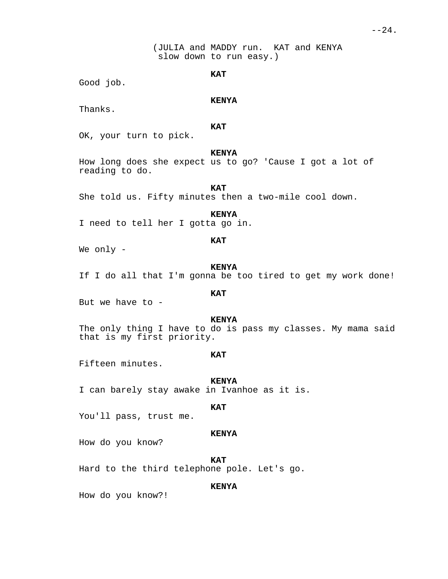(JULIA and MADDY run. KAT and KENYA slow down to run easy.)

# **KAT**

Good job.

# **KENYA**

Thanks.

# **KAT**

OK, your turn to pick.

## **KENYA**

How long does she expect us to go? 'Cause I got a lot of reading to do.

# **KAT**

She told us. Fifty minutes then a two-mile cool down.

## **KENYA**

I need to tell her I gotta go in.

# **KAT**

We only -

# **KENYA**

If I do all that I'm gonna be too tired to get my work done!

# **KAT**

But we have to -

## **KENYA**

The only thing I have to do is pass my classes. My mama said that is my first priority.

# **KAT**

Fifteen minutes.

#### **KENYA**

I can barely stay awake in Ivanhoe as it is.

#### **KAT**

You'll pass, trust me.

# **KENYA**

How do you know?

**KAT**

Hard to the third telephone pole. Let's go.

# **KENYA**

How do you know?!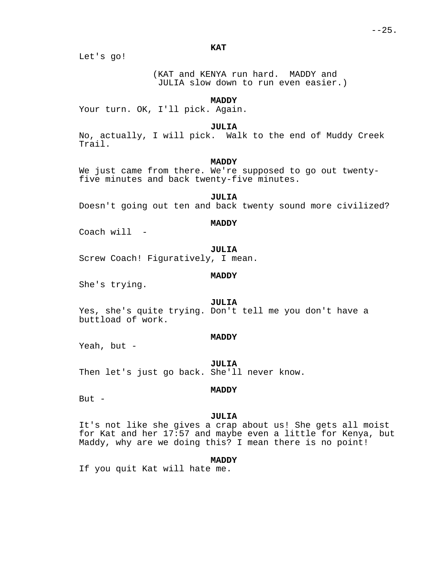**KAT**

Let's go!

(KAT and KENYA run hard. MADDY and JULIA slow down to run even easier.)

# **MADDY**

Your turn. OK, I'll pick. Again.

#### **JULIA**

No, actually, I will pick. Walk to the end of Muddy Creek Trail.

# **MADDY**

We just came from there. We're supposed to go out twentyfive minutes and back twenty-five minutes.

**JULIA** Doesn't going out ten and back twenty sound more civilized?

#### **MADDY**

Coach will -

**JULIA**

Screw Coach! Figuratively, I mean.

#### **MADDY**

She's trying.

# **JULIA**

Yes, she's quite trying. Don't tell me you don't have a buttload of work.

# **MADDY**

Yeah, but -

**JULIA**

Then let's just go back. She'll never know.

# **MADDY**

But  $-$ 

## **JULIA**

It's not like she gives a crap about us! She gets all moist for Kat and her 17:57 and maybe even a little for Kenya, but Maddy, why are we doing this? I mean there is no point!

# **MADDY**

If you quit Kat will hate me.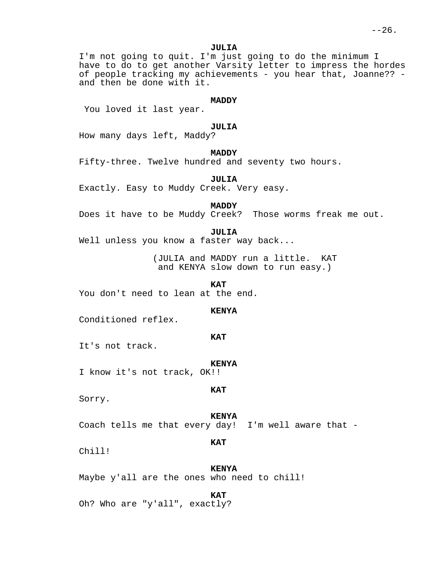I'm not going to quit. I'm just going to do the minimum I have to do to get another Varsity letter to impress the hordes of people tracking my achievements - you hear that, Joanne?? and then be done with it.

## **MADDY**

You loved it last year.

# **JULIA**

How many days left, Maddy?

# **MADDY**

Fifty-three. Twelve hundred and seventy two hours.

**JULIA**

Exactly. Easy to Muddy Creek. Very easy.

**MADDY**

Does it have to be Muddy Creek? Those worms freak me out.

## **JULIA**

Well unless you know a faster way back...

(JULIA and MADDY run a little. KAT and KENYA slow down to run easy.)

**KAT**

You don't need to lean at the end.

## **KENYA**

Conditioned reflex.

## **KAT**

It's not track.

#### **KENYA**

I know it's not track, OK!!

## **KAT**

Sorry.

#### **KENYA**

Coach tells me that every day! I'm well aware that -

**KAT**

Chill!

## **KENYA**

Maybe y'all are the ones who need to chill!

## **KAT**

Oh? Who are "y'all", exactly?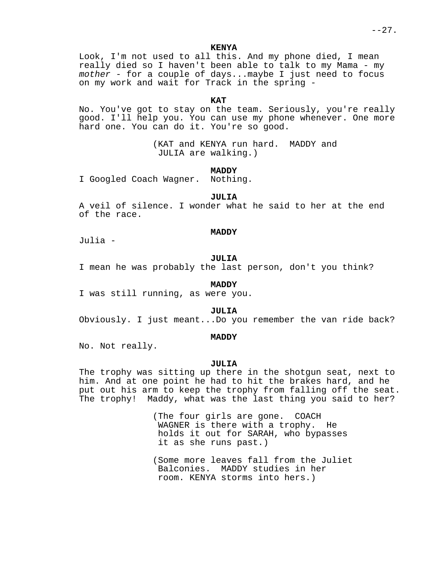$--27.$ 

**KENYA**

Look, I'm not used to all this. And my phone died, I mean really died so I haven't been able to talk to my Mama - my mother - for a couple of days...maybe I just need to focus on my work and wait for Track in the spring -

**KAT**

No. You've got to stay on the team. Seriously, you're really good. I'll help you. You can use my phone whenever. One more hard one. You can do it. You're so good.

> (KAT and KENYA run hard. MADDY and JULIA are walking.)

> > **MADDY**

I Googled Coach Wagner. Nothing.

**JULIA**

A veil of silence. I wonder what he said to her at the end of the race.

#### **MADDY**

Julia -

# **JULIA**

I mean he was probably the last person, don't you think?

# **MADDY**

I was still running, as were you.

## **JULIA**

Obviously. I just meant...Do you remember the van ride back?

# **MADDY**

No. Not really.

## **JULIA**

The trophy was sitting up there in the shotgun seat, next to him. And at one point he had to hit the brakes hard, and he put out his arm to keep the trophy from falling off the seat. The trophy! Maddy, what was the last thing you said to her?

> (The four girls are gone. COACH WAGNER is there with a trophy. He holds it out for SARAH, who bypasses it as she runs past.)

(Some more leaves fall from the Juliet Balconies. MADDY studies in her room. KENYA storms into hers.)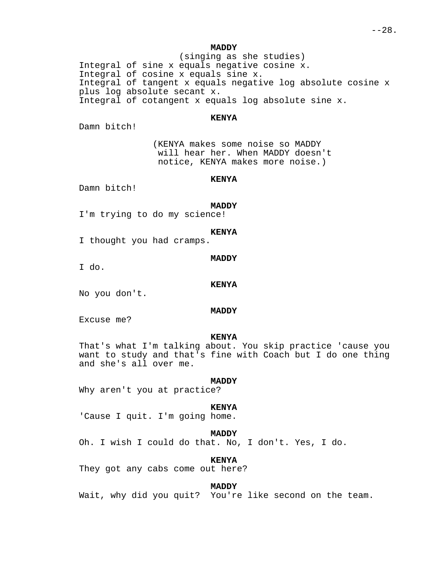(singing as she studies) Integral of sine x equals negative cosine x. Integral of cosine x equals sine x. Integral of tangent x equals negative log absolute cosine x plus log absolute secant x. Integral of cotangent x equals log absolute sine x.

# **KENYA**

Damn bitch!

(KENYA makes some noise so MADDY will hear her. When MADDY doesn't notice, KENYA makes more noise.)

# **KENYA**

Damn bitch!

# **MADDY**

I'm trying to do my science!

#### **KENYA**

I thought you had cramps.

# **MADDY**

I do.

#### **KENYA**

No you don't.

# **MADDY**

Excuse me?

## **KENYA**

That's what I'm talking about. You skip practice 'cause you want to study and that's fine with Coach but I do one thing and she's all over me.

# **MADDY**

Why aren't you at practice?

#### **KENYA**

'Cause I quit. I'm going home.

## **MADDY**

Oh. I wish I could do that. No, I don't. Yes, I do.

## **KENYA**

They got any cabs come out here?

## **MADDY**

Wait, why did you quit? You're like second on the team.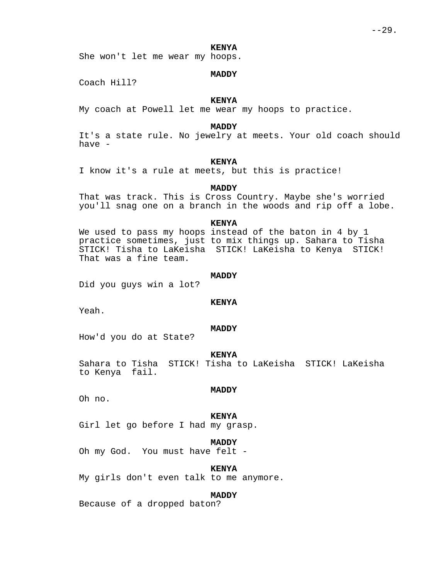She won't let me wear my hoops.

# **MADDY**

Coach Hill?

# **KENYA**

My coach at Powell let me wear my hoops to practice.

# **MADDY**

It's a state rule. No jewelry at meets. Your old coach should have -

# **KENYA**

I know it's a rule at meets, but this is practice!

# **MADDY**

That was track. This is Cross Country. Maybe she's worried you'll snag one on a branch in the woods and rip off a lobe.

#### **KENYA**

We used to pass my hoops instead of the baton in 4 by 1 practice sometimes, just to mix things up. Sahara to Tisha STICK! Tisha to LaKeisha STICK! LaKeisha to Kenya STICK! That was a fine team.

#### **MADDY**

Did you guys win a lot?

## **KENYA**

Yeah.

## **MADDY**

How'd you do at State?

#### **KENYA**

Sahara to Tisha STICK! Tisha to LaKeisha STICK! LaKeisha to Kenya fail.

#### **MADDY**

Oh no.

#### **KENYA**

Girl let go before I had my grasp.

## **MADDY**

Oh my God. You must have felt -

## **KENYA**

My girls don't even talk to me anymore.

# **MADDY**

Because of a dropped baton?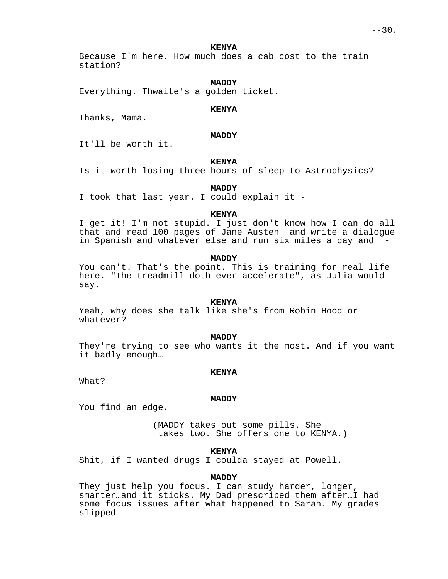Because I'm here. How much does a cab cost to the train station?

# **MADDY**

Everything. Thwaite's a golden ticket.

## **KENYA**

Thanks, Mama.

# **MADDY**

It'll be worth it.

# **KENYA**

Is it worth losing three hours of sleep to Astrophysics?

# **MADDY**

I took that last year. I could explain it -

## **KENYA**

I get it! I'm not stupid. I just don't know how I can do all that and read 100 pages of Jane Austen and write a dialogue in Spanish and whatever else and run six miles a day and -

## **MADDY**

You can't. That's the point. This is training for real life here. "The treadmill doth ever accelerate", as Julia would say.

# **KENYA**

Yeah, why does she talk like she's from Robin Hood or whatever?

## **MADDY**

They're trying to see who wants it the most. And if you want it badly enough…

## **KENYA**

What?

## **MADDY**

You find an edge.

(MADDY takes out some pills. She takes two. She offers one to KENYA.)

# **KENYA**

Shit, if I wanted drugs I coulda stayed at Powell.

# **MADDY**

They just help you focus. I can study harder, longer, smarter…and it sticks. My Dad prescribed them after…I had some focus issues after what happened to Sarah. My grades slipped -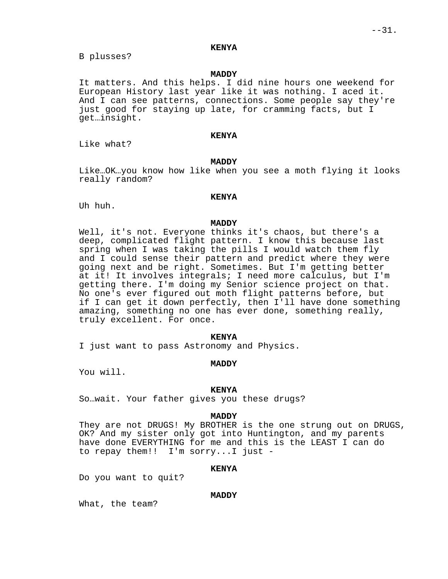B plusses?

# **MADDY**

It matters. And this helps. I did nine hours one weekend for European History last year like it was nothing. I aced it. And I can see patterns, connections. Some people say they're just good for staying up late, for cramming facts, but I get…insight.

# **KENYA**

Like what?

# **MADDY**

Like…OK…you know how like when you see a moth flying it looks really random?

## **KENYA**

Uh huh.

## **MADDY**

Well, it's not. Everyone thinks it's chaos, but there's a deep, complicated flight pattern. I know this because last spring when I was taking the pills I would watch them fly and I could sense their pattern and predict where they were going next and be right. Sometimes. But I'm getting better at it! It involves integrals; I need more calculus, but I'm getting there. I'm doing my Senior science project on that. No one's ever figured out moth flight patterns before, but if I can get it down perfectly, then I'll have done something amazing, something no one has ever done, something really, truly excellent. For once.

## **KENYA**

I just want to pass Astronomy and Physics.

# **MADDY**

You will.

# **KENYA**

So…wait. Your father gives you these drugs?

# **MADDY**

They are not DRUGS! My BROTHER is the one strung out on DRUGS, OK? And my sister only got into Huntington, and my parents have done EVERYTHING for me and this is the LEAST I can do to repay them!! I'm sorry...I just -

## **KENYA**

Do you want to quit?

# **MADDY**

What, the team?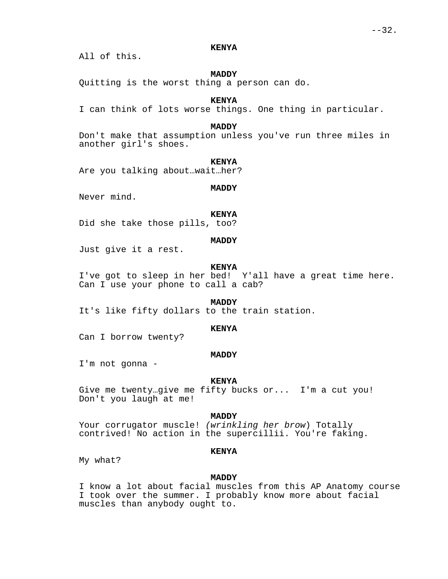All of this.

# **MADDY**

Quitting is the worst thing a person can do.

# **KENYA**

I can think of lots worse things. One thing in particular.

# **MADDY**

Don't make that assumption unless you've run three miles in another girl's shoes.

#### **KENYA**

Are you talking about…wait…her?

#### **MADDY**

Never mind.

## **KENYA**

Did she take those pills, too?

# **MADDY**

Just give it a rest.

#### **KENYA**

I've got to sleep in her bed! Y'all have a great time here. Can I use your phone to call a cab?

# **MADDY**

It's like fifty dollars to the train station.

# **KENYA**

Can I borrow twenty?

#### **MADDY**

I'm not gonna -

#### **KENYA**

Give me twenty…give me fifty bucks or... I'm a cut you! Don't you laugh at me!

#### **MADDY**

Your corrugator muscle! (wrinkling her brow) Totally contrived! No action in the supercillii. You're faking.

#### **KENYA**

My what?

#### **MADDY**

I know a lot about facial muscles from this AP Anatomy course I took over the summer. I probably know more about facial muscles than anybody ought to.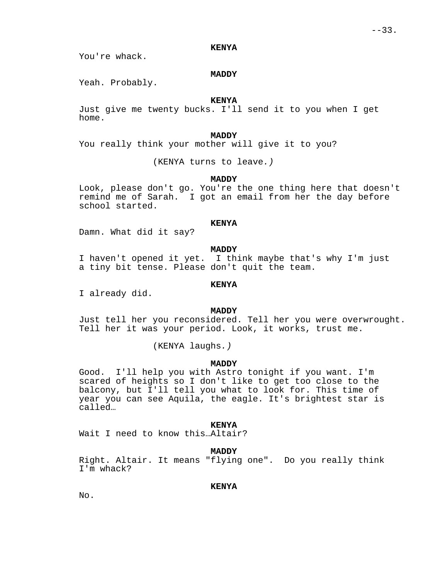You're whack.

# **MADDY**

Yeah. Probably.

# **KENYA**

Just give me twenty bucks. I'll send it to you when I get home.

#### **MADDY**

You really think your mother will give it to you?

(KENYA turns to leave.)

#### **MADDY**

Look, please don't go. You're the one thing here that doesn't remind me of Sarah. I got an email from her the day before school started.

## **KENYA**

Damn. What did it say?

#### **MADDY**

I haven't opened it yet. I think maybe that's why I'm just a tiny bit tense. Please don't quit the team.

# **KENYA**

I already did.

## **MADDY**

Just tell her you reconsidered. Tell her you were overwrought. Tell her it was your period. Look, it works, trust me.

(KENYA laughs.)

# **MADDY**

Good. I'll help you with Astro tonight if you want. I'm scared of heights so I don't like to get too close to the balcony, but I'll tell you what to look for. This time of year you can see Aquila, the eagle. It's brightest star is called…

#### **KENYA**

Wait I need to know this…Altair?

# **MADDY**

Right. Altair. It means "flying one". Do you really think I'm whack?

# **KENYA**

No.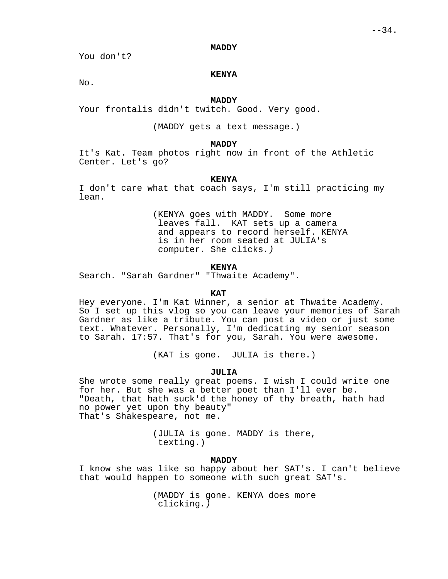You don't?

# **KENYA**

No.

# **MADDY**

Your frontalis didn't twitch. Good. Very good.

(MADDY gets a text message.)

# **MADDY**

It's Kat. Team photos right now in front of the Athletic Center. Let's go?

# **KENYA**

I don't care what that coach says, I'm still practicing my lean.

> (KENYA goes with MADDY. Some more leaves fall. KAT sets up a camera and appears to record herself. KENYA is in her room seated at JULIA's computer. She clicks.)

# **KENYA**

Search. "Sarah Gardner" "Thwaite Academy".

# **KAT**

Hey everyone. I'm Kat Winner, a senior at Thwaite Academy. So I set up this vlog so you can leave your memories of Sarah Gardner as like a tribute. You can post a video or just some text. Whatever. Personally, I'm dedicating my senior season to Sarah. 17:57. That's for you, Sarah. You were awesome.

(KAT is gone. JULIA is there.)

## **JULIA**

She wrote some really great poems. I wish I could write one for her. But she was a better poet than I'll ever be. "Death, that hath suck'd the honey of thy breath, hath had no power yet upon thy beauty" That's Shakespeare, not me.

> (JULIA is gone. MADDY is there, texting.)

# **MADDY**

I know she was like so happy about her SAT's. I can't believe that would happen to someone with such great SAT's.

> (MADDY is gone. KENYA does more clicking.)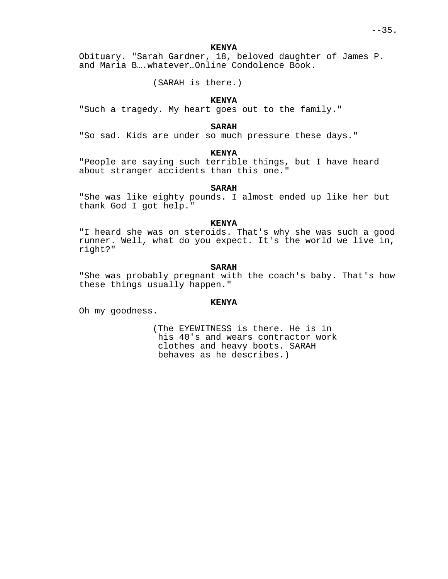Obituary. "Sarah Gardner, 18, beloved daughter of James P. and Maria B….whatever…Online Condolence Book.

(SARAH is there.)

# **KENYA**

"Such a tragedy. My heart goes out to the family."

# **SARAH**

"So sad. Kids are under so much pressure these days."

# **KENYA**

"People are saying such terrible things, but I have heard about stranger accidents than this one."

# **SARAH**

"She was like eighty pounds. I almost ended up like her but thank God I got help."

## **KENYA**

"I heard she was on steroids. That's why she was such a good runner. Well, what do you expect. It's the world we live in, right?"

# **SARAH**

"She was probably pregnant with the coach's baby. That's how these things usually happen."

# **KENYA**

Oh my goodness.

(The EYEWITNESS is there. He is in his 40's and wears contractor work clothes and heavy boots. SARAH behaves as he describes.)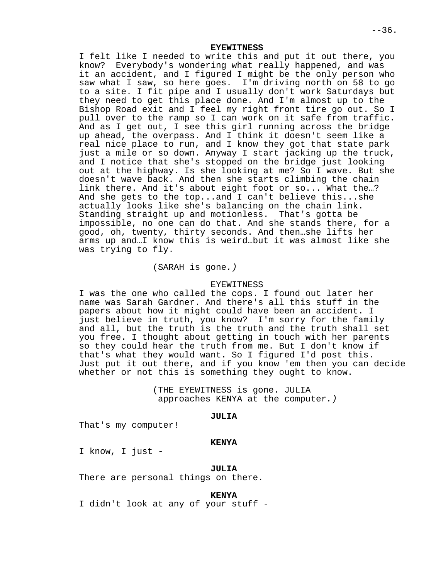**EYEWITNESS**

I felt like I needed to write this and put it out there, you know? Everybody's wondering what really happened, and was it an accident, and I figured I might be the only person who saw what I saw, so here goes. I'm driving north on 58 to go to a site. I fit pipe and I usually don't work Saturdays but they need to get this place done. And I'm almost up to the Bishop Road exit and I feel my right front tire go out. So I pull over to the ramp so I can work on it safe from traffic. And as I get out, I see this girl running across the bridge up ahead, the overpass. And I think it doesn't seem like a real nice place to run, and I know they got that state park just a mile or so down. Anyway I start jacking up the truck, and I notice that she's stopped on the bridge just looking out at the highway. Is she looking at me? So I wave. But she doesn't wave back. And then she starts climbing the chain link there. And it's about eight foot or so... What the…? And she gets to the top...and I can't believe this...she actually looks like she's balancing on the chain link. Standing straight up and motionless. That's gotta be impossible, no one can do that. And she stands there, for a good, oh, twenty, thirty seconds. And then…she lifts her arms up and…I know this is weird…but it was almost like she was trying to fly.

# (SARAH is gone.)

### EYEWITNESS

I was the one who called the cops. I found out later her name was Sarah Gardner. And there's all this stuff in the papers about how it might could have been an accident. I just believe in truth, you know? I'm sorry for the family and all, but the truth is the truth and the truth shall set you free. I thought about getting in touch with her parents so they could hear the truth from me. But I don't know if that's what they would want. So I figured I'd post this. Just put it out there, and if you know 'em then you can decide whether or not this is something they ought to know.

> (THE EYEWITNESS is gone. JULIA approaches KENYA at the computer.)

#### **JULIA**

That's my computer!

#### **KENYA**

I know, I just -

# **JULIA**

There are personal things on there.

### **KENYA**

I didn't look at any of your stuff -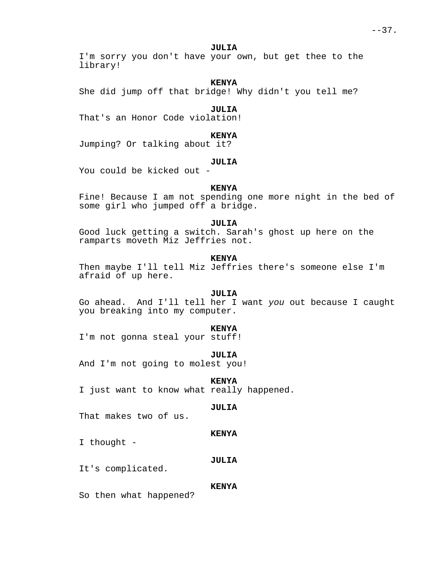### **JULIA**

I'm sorry you don't have your own, but get thee to the library!

# **KENYA**

She did jump off that bridge! Why didn't you tell me?

# **JULIA**

That's an Honor Code violation!

# **KENYA**

Jumping? Or talking about it?

### **JULIA**

You could be kicked out -

# **KENYA**

Fine! Because I am not spending one more night in the bed of some girl who jumped off a bridge.

### **JULIA**

Good luck getting a switch. Sarah's ghost up here on the ramparts moveth Miz Jeffries not.

# **KENYA**

Then maybe I'll tell Miz Jeffries there's someone else I'm afraid of up here.

# **JULIA**

Go ahead. And I'll tell her I want you out because I caught you breaking into my computer.

#### **KENYA**

I'm not gonna steal your stuff!

#### **JULIA**

And I'm not going to molest you!

#### **KENYA**

I just want to know what really happened.

### **JULIA**

That makes two of us.

# **KENYA**

I thought -

### **JULIA**

It's complicated.

### **KENYA**

So then what happened?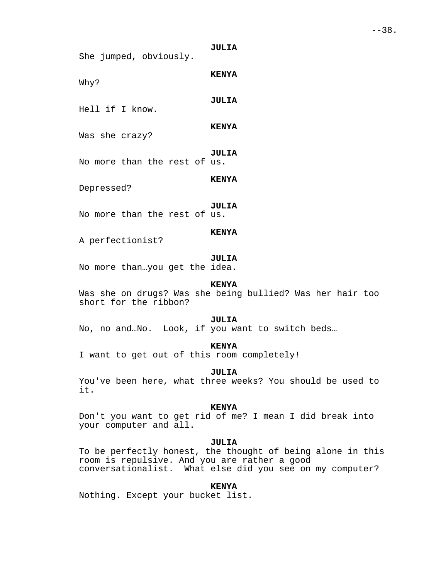**JULIA** She jumped, obviously.

Why?

**JULIA**

**KENYA**

Hell if I know.

**KENYA**

**KENYA**

Was she crazy?

**JULIA** No more than the rest of us.

Depressed?

**JULIA** No more than the rest of us.

### **KENYA**

A perfectionist?

### **JULIA**

No more than…you get the idea.

# **KENYA**

Was she on drugs? Was she being bullied? Was her hair too short for the ribbon?

#### **JULIA**

No, no and…No. Look, if you want to switch beds…

# **KENYA**

I want to get out of this room completely!

#### **JULIA**

You've been here, what three weeks? You should be used to it.

### **KENYA**

Don't you want to get rid of me? I mean I did break into your computer and all.

# **JULIA**

To be perfectly honest, the thought of being alone in this room is repulsive. And you are rather a good conversationalist. What else did you see on my computer?

# **KENYA**

Nothing. Except your bucket list.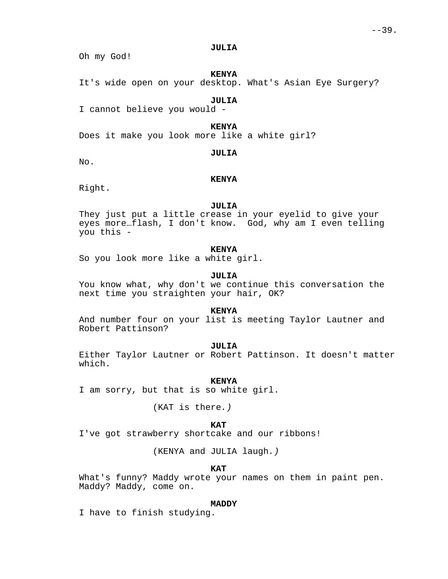### **JULIA**

Oh my God!

# **KENYA**

It's wide open on your desktop. What's Asian Eye Surgery?

# **JULIA**

I cannot believe you would -

# **KENYA**

Does it make you look more like a white girl?

No.

# **JULIA**

**KENYA**

Right.

### **JULIA**

They just put a little crease in your eyelid to give your eyes more…flash, I don't know. God, why am I even telling you this -

# **KENYA**

So you look more like a white girl.

### **JULIA**

You know what, why don't we continue this conversation the next time you straighten your hair, OK?

### **KENYA**

And number four on your list is meeting Taylor Lautner and Robert Pattinson?

# **JULIA**

Either Taylor Lautner or Robert Pattinson. It doesn't matter which.

### **KENYA**

I am sorry, but that is so white girl.

(KAT is there.)

# **KAT**

I've got strawberry shortcake and our ribbons!

(KENYA and JULIA laugh.)

### **KAT**

What's funny? Maddy wrote your names on them in paint pen. Maddy? Maddy, come on.

#### **MADDY**

I have to finish studying.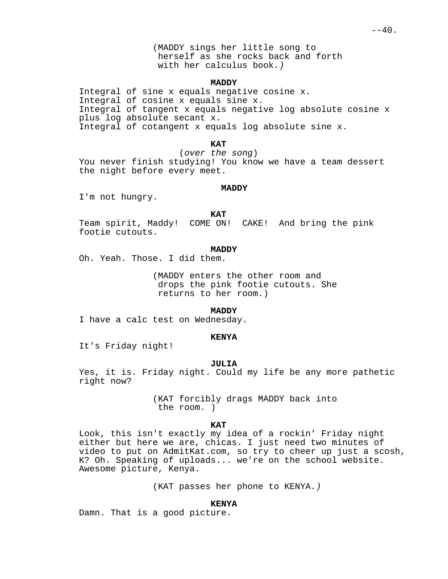(MADDY sings her little song to herself as she rocks back and forth with her calculus book.)

### **MADDY**

Integral of sine x equals negative cosine x. Integral of cosine x equals sine x. Integral of tangent x equals negative log absolute cosine x plus log absolute secant x. Integral of cotangent x equals log absolute sine x.

### **KAT**

(over the song) You never finish studying! You know we have a team dessert the night before every meet.

### **MADDY**

I'm not hungry.

#### **KAT**

Team spirit, Maddy! COME ON! CAKE! And bring the pink footie cutouts.

### **MADDY**

Oh. Yeah. Those. I did them.

(MADDY enters the other room and drops the pink footie cutouts. She returns to her room.)

### **MADDY**

I have a calc test on Wednesday.

### **KENYA**

It's Friday night!

### **JULIA**

Yes, it is. Friday night. Could my life be any more pathetic right now?

> (KAT forcibly drags MADDY back into the room. )

### **KAT**

Look, this isn't exactly my idea of a rockin' Friday night either but here we are, chicas. I just need two minutes of video to put on AdmitKat.com, so try to cheer up just a scosh, K? Oh. Speaking of uploads... we're on the school website. Awesome picture, Kenya.

(KAT passes her phone to KENYA.)

### **KENYA**

Damn. That is a good picture.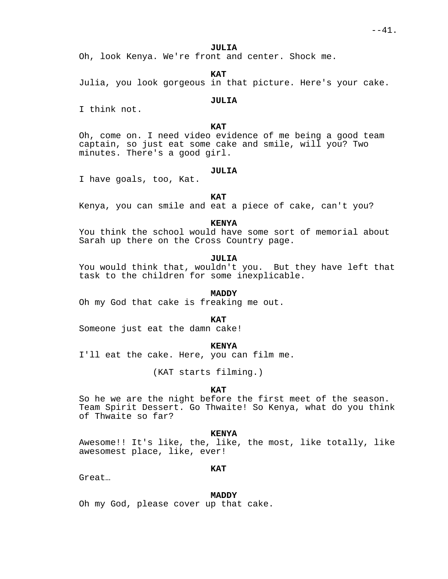### **JULIA**

Oh, look Kenya. We're front and center. Shock me.

**KAT**

Julia, you look gorgeous in that picture. Here's your cake.

# **JULIA**

I think not.

# **KAT**

Oh, come on. I need video evidence of me being a good team captain, so just eat some cake and smile, will you? Two minutes. There's a good girl.

# **JULIA**

I have goals, too, Kat.

### **KAT**

Kenya, you can smile and eat a piece of cake, can't you?

# **KENYA**

You think the school would have some sort of memorial about Sarah up there on the Cross Country page.

# **JULIA**

You would think that, wouldn't you. But they have left that task to the children for some inexplicable.

# **MADDY**

Oh my God that cake is freaking me out.

#### **KAT**

Someone just eat the damn cake!

# **KENYA**

I'll eat the cake. Here, you can film me.

(KAT starts filming.)

# **KAT**

So he we are the night before the first meet of the season. Team Spirit Dessert. Go Thwaite! So Kenya, what do you think of Thwaite so far?

#### **KENYA**

Awesome!! It's like, the, like, the most, like totally, like awesomest place, like, ever!

### **KAT**

Great…

# **MADDY**

Oh my God, please cover up that cake.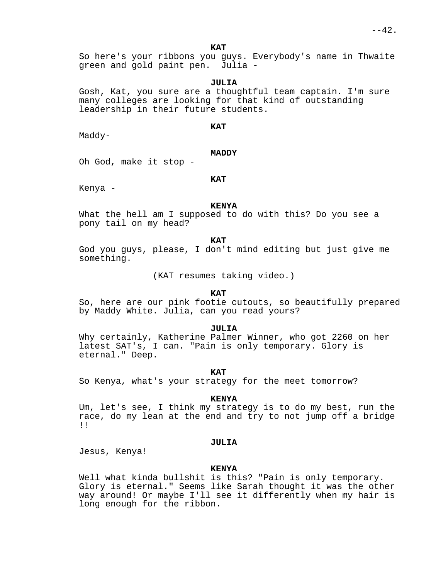So here's your ribbons you guys. Everybody's name in Thwaite green and gold paint pen. Julia -

### **JULIA**

Gosh, Kat, you sure are a thoughtful team captain. I'm sure many colleges are looking for that kind of outstanding leadership in their future students.

### **KAT**

Maddy-

# **MADDY**

Oh God, make it stop -

# **KAT**

Kenya -

### **KENYA**

What the hell am I supposed to do with this? Do you see a pony tail on my head?

**KAT**

God you guys, please, I don't mind editing but just give me something.

(KAT resumes taking video.)

### **KAT**

So, here are our pink footie cutouts, so beautifully prepared by Maddy White. Julia, can you read yours?

### **JULIA**

Why certainly, Katherine Palmer Winner, who got 2260 on her latest SAT's, I can. "Pain is only temporary. Glory is eternal." Deep.

#### **KAT**

So Kenya, what's your strategy for the meet tomorrow?

#### **KENYA**

Um, let's see, I think my strategy is to do my best, run the race, do my lean at the end and try to not jump off a bridge !!

### **JULIA**

Jesus, Kenya!

### **KENYA**

Well what kinda bullshit is this? "Pain is only temporary. Glory is eternal." Seems like Sarah thought it was the other way around! Or maybe I'll see it differently when my hair is long enough for the ribbon.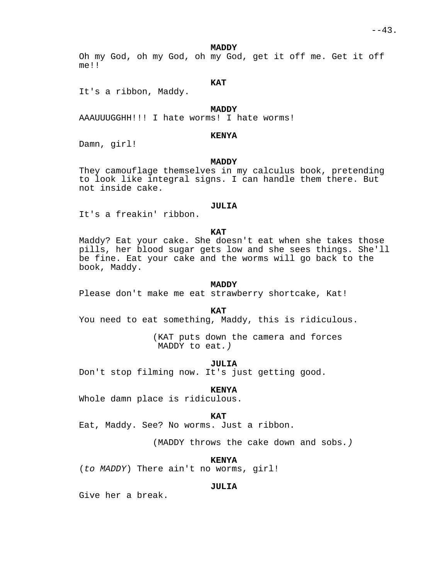#### **MADDY**

Oh my God, oh my God, oh my God, get it off me. Get it off me!!

# **KAT**

It's a ribbon, Maddy.

# **MADDY**

AAAUUUGGHH!!! I hate worms! I hate worms!

### **KENYA**

Damn, girl!

# **MADDY**

They camouflage themselves in my calculus book, pretending to look like integral signs. I can handle them there. But not inside cake.

# **JULIA**

It's a freakin' ribbon.

### **KAT**

Maddy? Eat your cake. She doesn't eat when she takes those pills, her blood sugar gets low and she sees things. She'll be fine. Eat your cake and the worms will go back to the book, Maddy.

### **MADDY**

Please don't make me eat strawberry shortcake, Kat!

#### **KAT**

You need to eat something, Maddy, this is ridiculous.

(KAT puts down the camera and forces MADDY to eat.)

### **JULIA**

Don't stop filming now. It's just getting good.

# **KENYA**

Whole damn place is ridiculous.

#### **KAT**

Eat, Maddy. See? No worms. Just a ribbon.

(MADDY throws the cake down and sobs.)

**KENYA**

(to MADDY) There ain't no worms, girl!

# **JULIA**

Give her a break.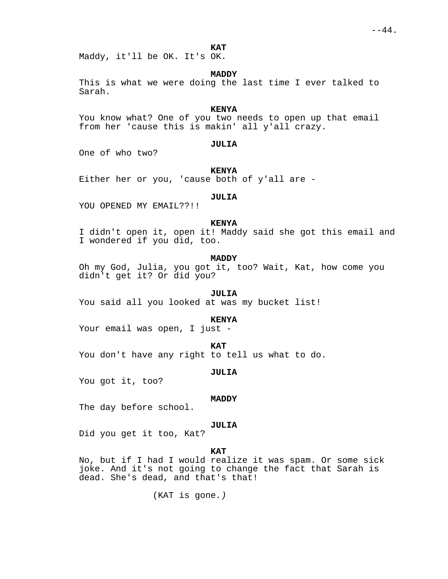Maddy, it'll be OK. It's OK.

# **MADDY**

This is what we were doing the last time I ever talked to Sarah.

# **KENYA**

You know what? One of you two needs to open up that email from her 'cause this is makin' all y'all crazy.

# **JULIA**

One of who two?

#### **KENYA**

Either her or you, 'cause both of y'all are -

# **JULIA**

YOU OPENED MY EMAIL??!!

# **KENYA**

I didn't open it, open it! Maddy said she got this email and I wondered if you did, too.

# **MADDY**

Oh my God, Julia, you got it, too? Wait, Kat, how come you didn't get it? Or did you?

# **JULIA**

You said all you looked at was my bucket list!

#### **KENYA**

Your email was open, I just -

#### **KAT**

You don't have any right to tell us what to do.

#### **JULIA**

You got it, too?

#### **MADDY**

The day before school.

#### **JULIA**

Did you get it too, Kat?

### **KAT**

No, but if I had I would realize it was spam. Or some sick joke. And it's not going to change the fact that Sarah is dead. She's dead, and that's that!

(KAT is gone.)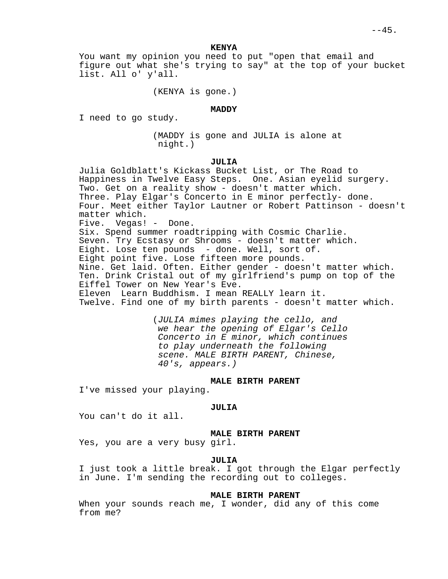**KENYA**

You want my opinion you need to put "open that email and figure out what she's trying to say" at the top of your bucket list. All o' y'all.

(KENYA is gone.)

### **MADDY**

I need to go study.

(MADDY is gone and JULIA is alone at night.)

# **JULIA**

Julia Goldblatt's Kickass Bucket List, or The Road to Happiness in Twelve Easy Steps. One. Asian eyelid surgery. Two. Get on a reality show - doesn't matter which. Three. Play Elgar's Concerto in E minor perfectly- done. Four. Meet either Taylor Lautner or Robert Pattinson - doesn't matter which. Five. Vegas! - Done. Six. Spend summer roadtripping with Cosmic Charlie. Seven. Try Ecstasy or Shrooms - doesn't matter which. Eight. Lose ten pounds - done. Well, sort of. Eight point five. Lose fifteen more pounds. Nine. Get laid. Often. Either gender - doesn't matter which. Ten. Drink Cristal out of my girlfriend's pump on top of the Eiffel Tower on New Year's Eve. Eleven Learn Buddhism. I mean REALLY learn it. Twelve. Find one of my birth parents - doesn't matter which.

> (JULIA mimes playing the cello, and we hear the opening of Elgar's Cello Concerto in E minor, which continues to play underneath the following scene. MALE BIRTH PARENT, Chinese, 40's, appears.)

# **MALE BIRTH PARENT**

I've missed your playing.

#### **JULIA**

You can't do it all.

# **MALE BIRTH PARENT**

Yes, you are a very busy girl.

### **JULIA**

I just took a little break. I got through the Elgar perfectly in June. I'm sending the recording out to colleges.

# **MALE BIRTH PARENT**

When your sounds reach me, I wonder, did any of this come from me?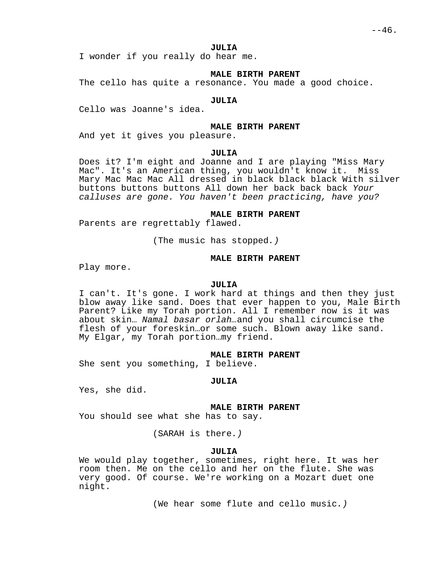### **JULIA**

I wonder if you really do hear me.

# **MALE BIRTH PARENT**

The cello has quite a resonance. You made a good choice.

#### **JULIA**

Cello was Joanne's idea.

### **MALE BIRTH PARENT**

And yet it gives you pleasure.

#### **JULIA**

Does it? I'm eight and Joanne and I are playing "Miss Mary Mac". It's an American thing, you wouldn't know it. Miss Mary Mac Mac Mac All dressed in black black black With silver buttons buttons buttons All down her back back back Your calluses are gone. You haven't been practicing, have you?

#### **MALE BIRTH PARENT**

Parents are regrettably flawed.

(The music has stopped.)

#### **MALE BIRTH PARENT**

Play more.

# **JULIA**

I can't. It's gone. I work hard at things and then they just blow away like sand. Does that ever happen to you, Male Birth Parent? Like my Torah portion. All I remember now is it was about skin… Namal basar orlah…and you shall circumcise the flesh of your foreskin…or some such. Blown away like sand. My Elgar, my Torah portion…my friend.

### **MALE BIRTH PARENT**

She sent you something, I believe.

#### **JULIA**

Yes, she did.

**MALE BIRTH PARENT**

You should see what she has to say.

(SARAH is there.)

# **JULIA**

We would play together, sometimes, right here. It was her room then. Me on the cello and her on the flute. She was very good. Of course. We're working on a Mozart duet one night.

(We hear some flute and cello music.)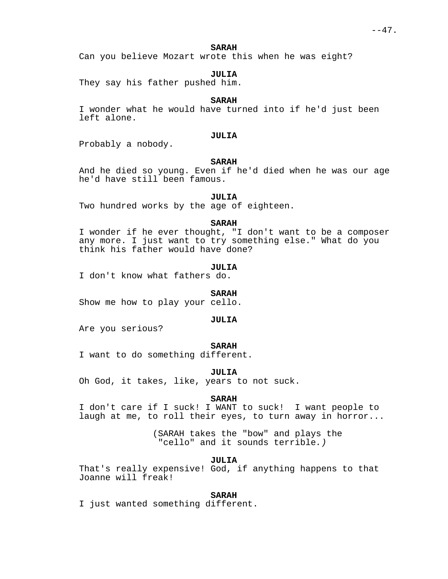### **SARAH**

Can you believe Mozart wrote this when he was eight?

# **JULIA**

They say his father pushed him.

# **SARAH**

I wonder what he would have turned into if he'd just been left alone.

# **JULIA**

Probably a nobody.

# **SARAH**

And he died so young. Even if he'd died when he was our age he'd have still been famous.

### **JULIA**

Two hundred works by the age of eighteen.

### **SARAH**

I wonder if he ever thought, "I don't want to be a composer any more. I just want to try something else." What do you think his father would have done?

### **JULIA**

I don't know what fathers do.

#### **SARAH**

Show me how to play your cello.

### **JULIA**

Are you serious?

### **SARAH**

I want to do something different.

#### **JULIA**

Oh God, it takes, like, years to not suck.

#### **SARAH**

I don't care if I suck! I WANT to suck! I want people to laugh at me, to roll their eyes, to turn away in horror...

> (SARAH takes the "bow" and plays the "cello" and it sounds terrible.)

> > **JULIA**

That's really expensive! God, if anything happens to that Joanne will freak!

# **SARAH**

I just wanted something different.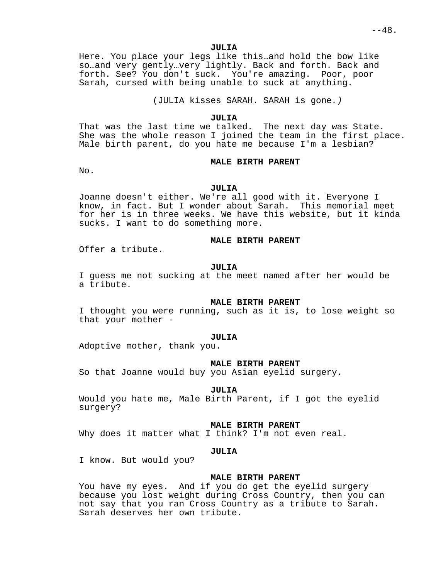$- - 48.$ 

**JULIA**

Here. You place your legs like this…and hold the bow like so…and very gently…very lightly. Back and forth. Back and forth. See? You don't suck. You're amazing. Poor, poor Sarah, cursed with being unable to suck at anything.

(JULIA kisses SARAH. SARAH is gone.)

### **JULIA**

That was the last time we talked. The next day was State. She was the whole reason I joined the team in the first place. Male birth parent, do you hate me because I'm a lesbian?

# **MALE BIRTH PARENT**

No.

### **JULIA**

Joanne doesn't either. We're all good with it. Everyone I know, in fact. But I wonder about Sarah. This memorial meet for her is in three weeks. We have this website, but it kinda sucks. I want to do something more.

# **MALE BIRTH PARENT**

Offer a tribute.

#### **JULIA**

I guess me not sucking at the meet named after her would be a tribute.

# **MALE BIRTH PARENT**

I thought you were running, such as it is, to lose weight so that your mother -

### **JULIA**

Adoptive mother, thank you.

### **MALE BIRTH PARENT**

So that Joanne would buy you Asian eyelid surgery.

#### **JULIA**

Would you hate me, Male Birth Parent, if I got the eyelid surgery?

#### **MALE BIRTH PARENT**

Why does it matter what I think? I'm not even real.

# **JULIA**

I know. But would you?

### **MALE BIRTH PARENT**

You have my eyes. And if you do get the eyelid surgery because you lost weight during Cross Country, then you can not say that you ran Cross Country as a tribute to Sarah. Sarah deserves her own tribute.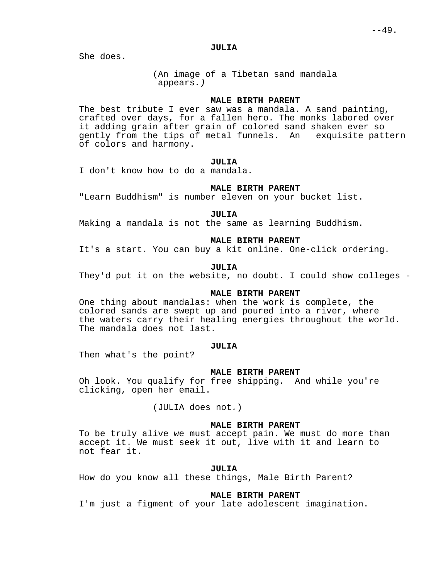### **JULIA**

She does.

(An image of a Tibetan sand mandala appears.)

# **MALE BIRTH PARENT**

The best tribute I ever saw was a mandala. A sand painting, crafted over days, for a fallen hero. The monks labored over it adding grain after grain of colored sand shaken ever so gently from the tips of metal funnels. An exquisite pattern of colors and harmony.

### **JULIA**

I don't know how to do a mandala.

# **MALE BIRTH PARENT**

"Learn Buddhism" is number eleven on your bucket list.

#### **JULIA**

Making a mandala is not the same as learning Buddhism.

# **MALE BIRTH PARENT**

It's a start. You can buy a kit online. One-click ordering.

#### **JULIA**

They'd put it on the website, no doubt. I could show colleges -

# **MALE BIRTH PARENT**

One thing about mandalas: when the work is complete, the colored sands are swept up and poured into a river, where the waters carry their healing energies throughout the world. The mandala does not last.

# **JULIA**

Then what's the point?

#### **MALE BIRTH PARENT**

Oh look. You qualify for free shipping. And while you're clicking, open her email.

(JULIA does not.)

# **MALE BIRTH PARENT**

To be truly alive we must accept pain. We must do more than accept it. We must seek it out, live with it and learn to not fear it.

### **JULIA**

How do you know all these things, Male Birth Parent?

# **MALE BIRTH PARENT**

I'm just a figment of your late adolescent imagination.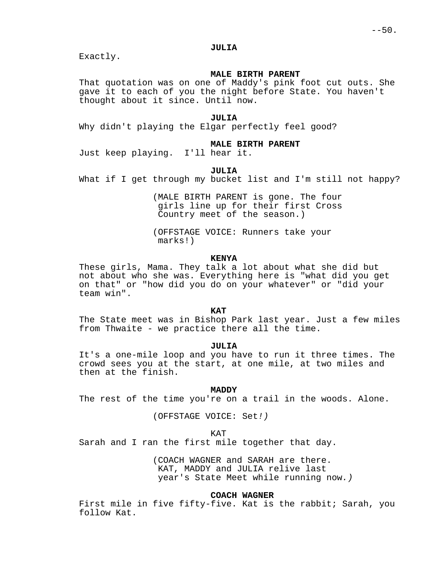### **JULIA**

Exactly.

# **MALE BIRTH PARENT**

That quotation was on one of Maddy's pink foot cut outs. She gave it to each of you the night before State. You haven't thought about it since. Until now.

### **JULIA**

Why didn't playing the Elgar perfectly feel good?

# **MALE BIRTH PARENT**

Just keep playing. I'll hear it.

# **JULIA**

What if I get through my bucket list and I'm still not happy?

(MALE BIRTH PARENT is gone. The four girls line up for their first Cross Country meet of the season.)

(OFFSTAGE VOICE: Runners take your marks!)

### **KENYA**

These girls, Mama. They talk a lot about what she did but not about who she was. Everything here is "what did you get on that" or "how did you do on your whatever" or "did your team win".

### **KAT**

The State meet was in Bishop Park last year. Just a few miles from Thwaite - we practice there all the time.

# **JULIA**

It's a one-mile loop and you have to run it three times. The crowd sees you at the start, at one mile, at two miles and then at the finish.

### **MADDY**

The rest of the time you're on a trail in the woods. Alone.

(OFFSTAGE VOICE: Set!)

KAT

Sarah and I ran the first mile together that day.

(COACH WAGNER and SARAH are there. KAT, MADDY and JULIA relive last year's State Meet while running now.)

# **COACH WAGNER**

First mile in five fifty-five. Kat is the rabbit; Sarah, you follow Kat.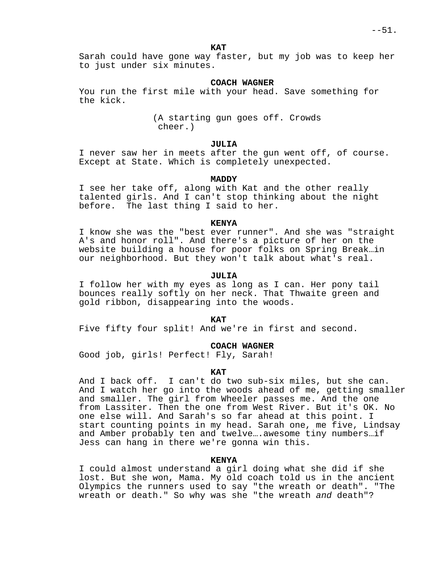Sarah could have gone way faster, but my job was to keep her to just under six minutes.

### **COACH WAGNER**

You run the first mile with your head. Save something for the kick.

> (A starting gun goes off. Crowds cheer.)

# **JULIA**

I never saw her in meets after the gun went off, of course. Except at State. Which is completely unexpected.

#### **MADDY**

I see her take off, along with Kat and the other really talented girls. And I can't stop thinking about the night before. The last thing I said to her.

#### **KENYA**

I know she was the "best ever runner". And she was "straight A's and honor roll". And there's a picture of her on the website building a house for poor folks on Spring Break…in our neighborhood. But they won't talk about what's real.

### **JULIA**

I follow her with my eyes as long as I can. Her pony tail bounces really softly on her neck. That Thwaite green and gold ribbon, disappearing into the woods.

#### **KAT**

Five fifty four split! And we're in first and second.

### **COACH WAGNER**

Good job, girls! Perfect! Fly, Sarah!

#### **KAT**

And I back off. I can't do two sub-six miles, but she can. And I watch her go into the woods ahead of me, getting smaller and smaller. The girl from Wheeler passes me. And the one from Lassiter. Then the one from West River. But it's OK. No one else will. And Sarah's so far ahead at this point. I start counting points in my head. Sarah one, me five, Lindsay and Amber probably ten and twelve….awesome tiny numbers…if Jess can hang in there we're gonna win this.

### **KENYA**

I could almost understand a girl doing what she did if she lost. But she won, Mama. My old coach told us in the ancient Olympics the runners used to say "the wreath or death". "The wreath or death." So why was she "the wreath and death"?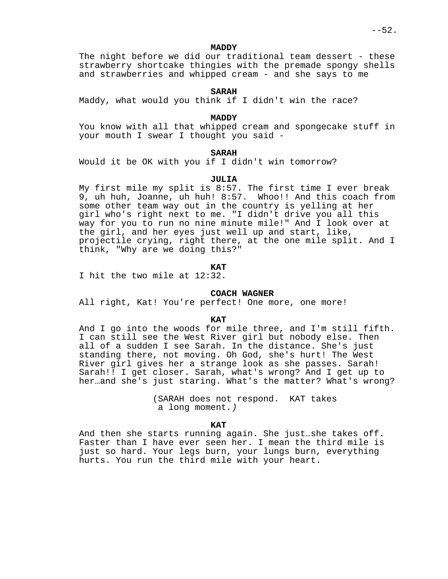### **MADDY**

The night before we did our traditional team dessert - these strawberry shortcake thingies with the premade spongy shells and strawberries and whipped cream - and she says to me

# **SARAH**

Maddy, what would you think if I didn't win the race?

#### **MADDY**

You know with all that whipped cream and spongecake stuff in your mouth I swear I thought you said -

# **SARAH**

Would it be OK with you if I didn't win tomorrow?

### **JULIA**

My first mile my split is 8:57. The first time I ever break 9, uh huh, Joanne, uh huh! 8:57. Whoo!! And this coach from some other team way out in the country is yelling at her girl who's right next to me. "I didn't drive you all this way for you to run no nine minute mile!" And I look over at the girl, and her eyes just well up and start, like, projectile crying, right there, at the one mile split. And I think, "Why are we doing this?"

### **KAT**

I hit the two mile at 12:32.

# **COACH WAGNER**

All right, Kat! You're perfect! One more, one more!

### **KAT**

And I go into the woods for mile three, and I'm still fifth. I can still see the West River girl but nobody else. Then all of a sudden I see Sarah. In the distance. She's just standing there, not moving. Oh God, she's hurt! The West River girl gives her a strange look as she passes. Sarah! Sarah!! I get closer. Sarah, what's wrong? And I get up to her…and she's just staring. What's the matter? What's wrong?

> (SARAH does not respond. KAT takes a long moment.)

### **KAT**

And then she starts running again. She just…she takes off. Faster than I have ever seen her. I mean the third mile is just so hard. Your legs burn, your lungs burn, everything hurts. You run the third mile with your heart.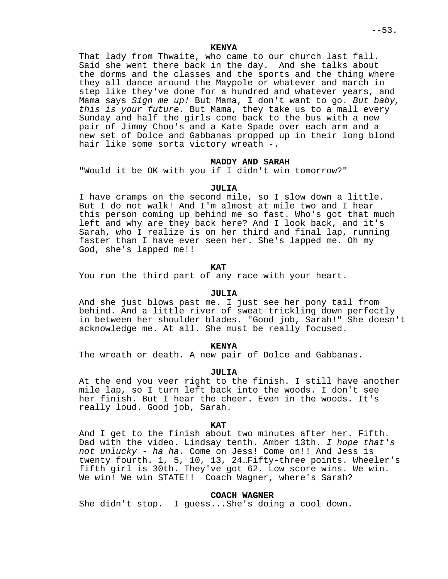### **KENYA**

That lady from Thwaite, who came to our church last fall. Said she went there back in the day. And she talks about the dorms and the classes and the sports and the thing where they all dance around the Maypole or whatever and march in step like they've done for a hundred and whatever years, and Mama says Sign me up! But Mama, I don't want to go. But baby, this is your future. But Mama, they take us to a mall every Sunday and half the girls come back to the bus with a new pair of Jimmy Choo's and a Kate Spade over each arm and a new set of Dolce and Gabbanas propped up in their long blond hair like some sorta victory wreath -.

# **MADDY AND SARAH**

"Would it be OK with you if I didn't win tomorrow?"

### **JULIA**

I have cramps on the second mile, so I slow down a little. But I do not walk! And I'm almost at mile two and I hear this person coming up behind me so fast. Who's got that much left and why are they back here? And I look back, and it's Sarah, who I realize is on her third and final lap, running faster than I have ever seen her. She's lapped me. Oh my God, she's lapped me!!

### **KAT**

You run the third part of any race with your heart.

# **JULIA**

And she just blows past me. I just see her pony tail from behind. And a little river of sweat trickling down perfectly in between her shoulder blades. "Good job, Sarah!" She doesn't acknowledge me. At all. She must be really focused.

### **KENYA**

The wreath or death. A new pair of Dolce and Gabbanas.

#### **JULIA**

At the end you veer right to the finish. I still have another mile lap, so I turn left back into the woods. I don't see her finish. But I hear the cheer. Even in the woods. It's really loud. Good job, Sarah.

### **KAT**

And I get to the finish about two minutes after her. Fifth. Dad with the video. Lindsay tenth. Amber 13th. I hope that's not unlucky - ha ha. Come on Jess! Come on!! And Jess is twenty fourth. 1, 5, 10, 13, 24…Fifty-three points. Wheeler's fifth girl is 30th. They've got 62. Low score wins. We win. We win! We win STATE!! Coach Wagner, where's Sarah?

### **COACH WAGNER**

She didn't stop. I guess...She's doing a cool down.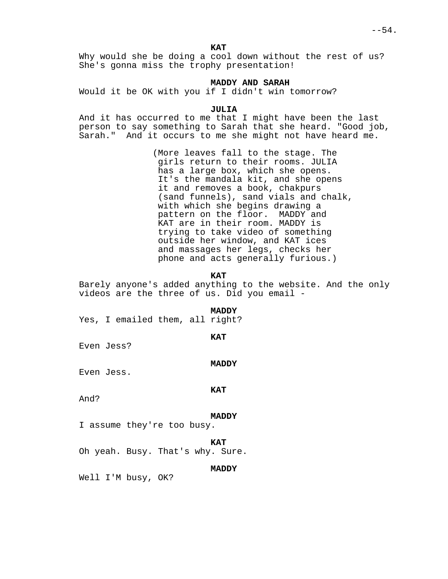Why would she be doing a cool down without the rest of us? She's gonna miss the trophy presentation!

### **MADDY AND SARAH**

Would it be OK with you if I didn't win tomorrow?

# **JULIA**

And it has occurred to me that I might have been the last person to say something to Sarah that she heard. "Good job, Sarah." And it occurs to me she might not have heard me.

> (More leaves fall to the stage. The girls return to their rooms. JULIA has a large box, which she opens. It's the mandala kit, and she opens it and removes a book, chakpurs (sand funnels), sand vials and chalk, with which she begins drawing a pattern on the floor. MADDY and KAT are in their room. MADDY is trying to take video of something outside her window, and KAT ices and massages her legs, checks her phone and acts generally furious.)

### **KAT**

Barely anyone's added anything to the website. And the only videos are the three of us. Did you email -

#### **MADDY**

Yes, I emailed them, all right?

#### **KAT**

Even Jess?

#### **MADDY**

Even Jess.

#### **KAT**

And?

#### **MADDY**

I assume they're too busy.

**KAT**

Oh yeah. Busy. That's why. Sure.

### **MADDY**

Well I'M busy, OK?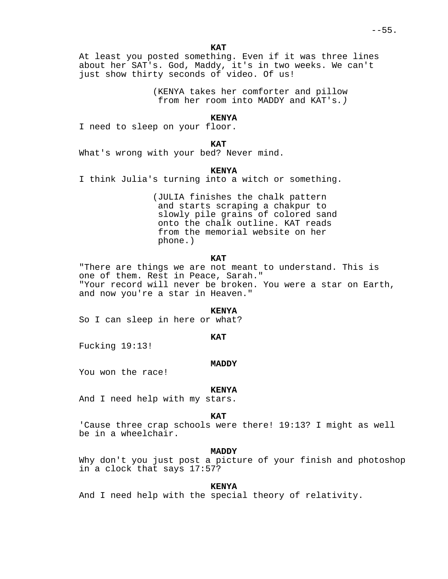At least you posted something. Even if it was three lines about her SAT's. God, Maddy, it's in two weeks. We can't just show thirty seconds of video. Of us!

> (KENYA takes her comforter and pillow from her room into MADDY and KAT's.)

### **KENYA**

I need to sleep on your floor.

**KAT**

What's wrong with your bed? Never mind.

**KENYA**

I think Julia's turning into a witch or something.

(JULIA finishes the chalk pattern and starts scraping a chakpur to slowly pile grains of colored sand onto the chalk outline. KAT reads from the memorial website on her phone.)

### **KAT**

"There are things we are not meant to understand. This is one of them. Rest in Peace, Sarah." "Your record will never be broken. You were a star on Earth, and now you're a star in Heaven."

#### **KENYA**

So I can sleep in here or what?

**KAT**

Fucking 19:13!

### **MADDY**

You won the race!

#### **KENYA**

And I need help with my stars.

#### **KAT**

'Cause three crap schools were there! 19:13? I might as well be in a wheelchair.

### **MADDY**

Why don't you just post a picture of your finish and photoshop in a clock that says 17:57?

### **KENYA**

And I need help with the special theory of relativity.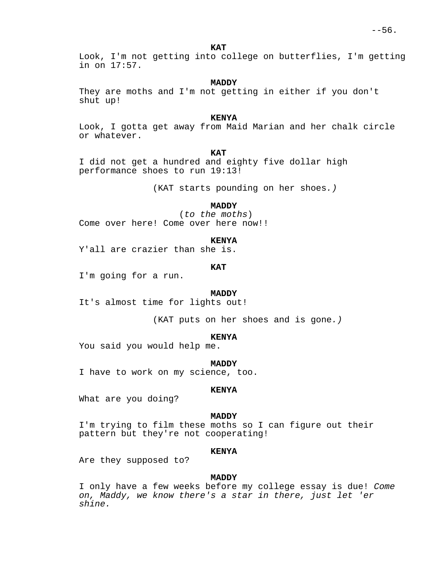Look, I'm not getting into college on butterflies, I'm getting in on 17:57.

### **MADDY**

They are moths and I'm not getting in either if you don't shut up!

### **KENYA**

Look, I gotta get away from Maid Marian and her chalk circle or whatever.

#### **KAT**

I did not get a hundred and eighty five dollar high performance shoes to run 19:13!

(KAT starts pounding on her shoes.)

# **MADDY**

(to the moths) Come over here! Come over here now!!

#### **KENYA**

Y'all are crazier than she is.

# **KAT**

I'm going for a run.

#### **MADDY**

It's almost time for lights out!

(KAT puts on her shoes and is gone.)

#### **KENYA**

You said you would help me.

#### **MADDY**

I have to work on my science, too.

### **KENYA**

What are you doing?

#### **MADDY**

I'm trying to film these moths so I can figure out their pattern but they're not cooperating!

### **KENYA**

Are they supposed to?

### **MADDY**

I only have a few weeks before my college essay is due! Come on, Maddy, we know there's a star in there, just let 'er shine.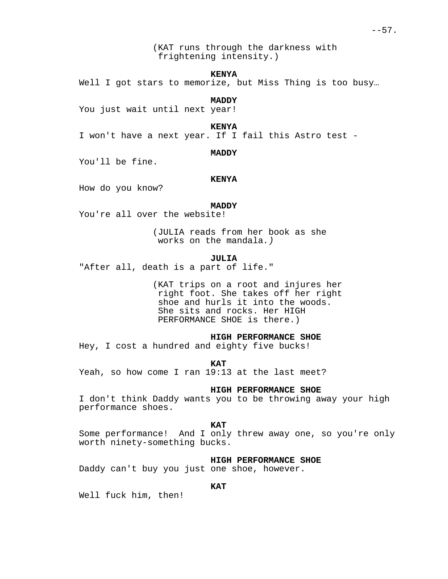### **KENYA**

Well I got stars to memorize, but Miss Thing is too busy...

**MADDY**

You just wait until next year!

**KENYA**

I won't have a next year. If I fail this Astro test -

### **MADDY**

You'll be fine.

### **KENYA**

How do you know?

# **MADDY**

You're all over the website!

(JULIA reads from her book as she works on the mandala.)

### **JULIA**

"After all, death is a part of life."

(KAT trips on a root and injures her right foot. She takes off her right shoe and hurls it into the woods. She sits and rocks. Her HIGH PERFORMANCE SHOE is there.)

# **HIGH PERFORMANCE SHOE**

Hey, I cost a hundred and eighty five bucks!

**KAT**

Yeah, so how come I ran 19:13 at the last meet?

### **HIGH PERFORMANCE SHOE**

I don't think Daddy wants you to be throwing away your high performance shoes.

#### **KAT**

Some performance! And I only threw away one, so you're only worth ninety-something bucks.

### **HIGH PERFORMANCE SHOE**

Daddy can't buy you just one shoe, however.

# **KAT**

Well fuck him, then!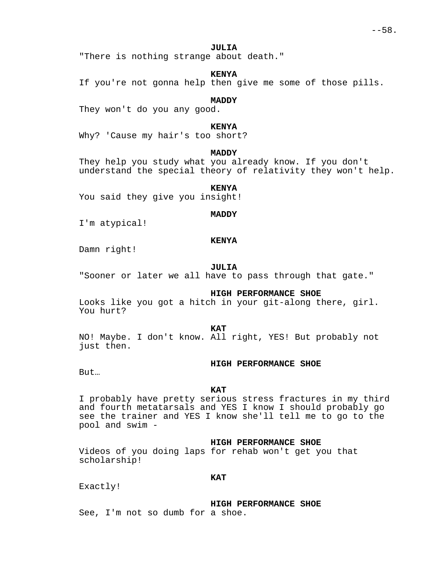### **JULIA**

"There is nothing strange about death."

### **KENYA**

If you're not gonna help then give me some of those pills.

# **MADDY**

They won't do you any good.

# **KENYA**

Why? 'Cause my hair's too short?

# **MADDY**

They help you study what you already know. If you don't understand the special theory of relativity they won't help.

# **KENYA**

You said they give you insight!

#### **MADDY**

I'm atypical!

# **KENYA**

Damn right!

# **JULIA**

"Sooner or later we all have to pass through that gate."

### **HIGH PERFORMANCE SHOE**

Looks like you got a hitch in your git-along there, girl. You hurt?

**KAT**

NO! Maybe. I don't know. All right, YES! But probably not just then.

### **HIGH PERFORMANCE SHOE**

But…

### **KAT**

I probably have pretty serious stress fractures in my third and fourth metatarsals and YES I know I should probably go see the trainer and YES I know she'll tell me to go to the pool and swim -

### **HIGH PERFORMANCE SHOE**

Videos of you doing laps for rehab won't get you that scholarship!

# **KAT**

Exactly!

**HIGH PERFORMANCE SHOE**

See, I'm not so dumb for a shoe.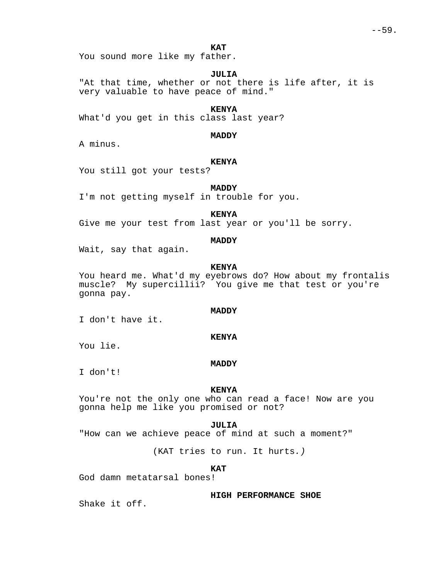You sound more like my father.

### **JULIA**

"At that time, whether or not there is life after, it is very valuable to have peace of mind."

# **KENYA**

What'd you get in this class last year?

**MADDY**

A minus.

# **KENYA**

You still got your tests?

# **MADDY**

I'm not getting myself in trouble for you.

# **KENYA**

Give me your test from last year or you'll be sorry.

# **MADDY**

Wait, say that again.

# **KENYA**

You heard me. What'd my eyebrows do? How about my frontalis muscle? My supercillii? You give me that test or you're gonna pay.

### **MADDY**

**KENYA**

I don't have it.

You lie.

### **MADDY**

I don't!

# **KENYA**

You're not the only one who can read a face! Now are you gonna help me like you promised or not?

### **JULIA**

"How can we achieve peace of mind at such a moment?"

(KAT tries to run. It hurts.)

### **KAT**

God damn metatarsal bones!

**HIGH PERFORMANCE SHOE**

Shake it off.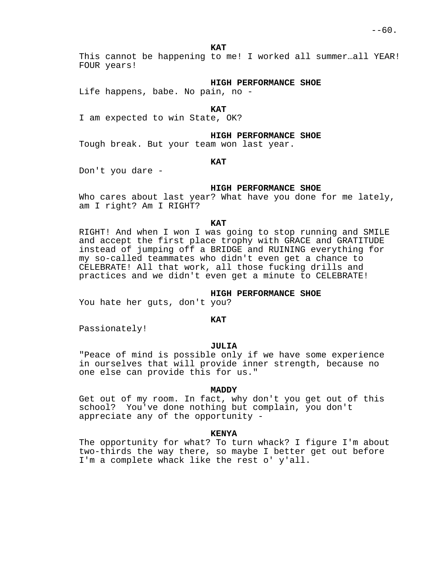This cannot be happening to me! I worked all summer…all YEAR! FOUR years!

#### **HIGH PERFORMANCE SHOE**

Life happens, babe. No pain, no -

### **KAT**

I am expected to win State, OK?

#### **HIGH PERFORMANCE SHOE**

Tough break. But your team won last year.

### **KAT**

Don't you dare -

### **HIGH PERFORMANCE SHOE**

Who cares about last year? What have you done for me lately, am I right? Am I RIGHT?

#### **KAT**

RIGHT! And when I won I was going to stop running and SMILE and accept the first place trophy with GRACE and GRATITUDE instead of jumping off a BRIDGE and RUINING everything for my so-called teammates who didn't even get a chance to CELEBRATE! All that work, all those fucking drills and practices and we didn't even get a minute to CELEBRATE!

# **HIGH PERFORMANCE SHOE**

You hate her guts, don't you?

#### **KAT**

Passionately!

### **JULIA**

"Peace of mind is possible only if we have some experience in ourselves that will provide inner strength, because no one else can provide this for us."

### **MADDY**

Get out of my room. In fact, why don't you get out of this school? You've done nothing but complain, you don't appreciate any of the opportunity -

### **KENYA**

The opportunity for what? To turn whack? I figure I'm about two-thirds the way there, so maybe I better get out before I'm a complete whack like the rest o' y'all.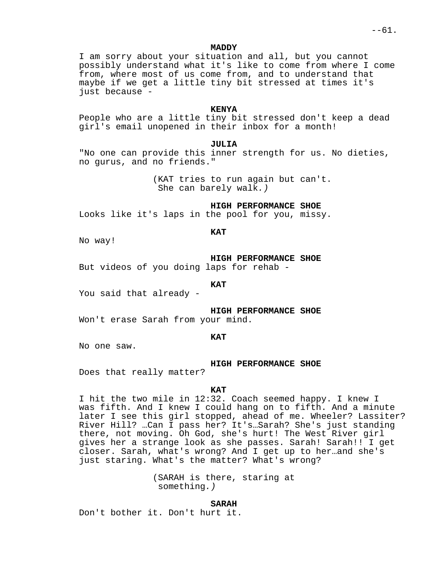**MADDY**

I am sorry about your situation and all, but you cannot possibly understand what it's like to come from where I come from, where most of us come from, and to understand that maybe if we get a little tiny bit stressed at times it's just because -

# **KENYA**

People who are a little tiny bit stressed don't keep a dead girl's email unopened in their inbox for a month!

**JULIA**

"No one can provide this inner strength for us. No dieties, no gurus, and no friends."

> (KAT tries to run again but can't. She can barely walk.)

> > **HIGH PERFORMANCE SHOE**

Looks like it's laps in the pool for you, missy.

No way!

**HIGH PERFORMANCE SHOE**

But videos of you doing laps for rehab -

**KAT**

**KAT**

You said that already -

**HIGH PERFORMANCE SHOE**

Won't erase Sarah from your mind.

#### **KAT**

No one saw.

**HIGH PERFORMANCE SHOE**

Does that really matter?

### **KAT**

I hit the two mile in 12:32. Coach seemed happy. I knew I was fifth. And I knew I could hang on to fifth. And a minute later I see this girl stopped, ahead of me. Wheeler? Lassiter? River Hill? …Can I pass her? It's…Sarah? She's just standing there, not moving. Oh God, she's hurt! The West River girl gives her a strange look as she passes. Sarah! Sarah!! I get closer. Sarah, what's wrong? And I get up to her…and she's just staring. What's the matter? What's wrong?

> (SARAH is there, staring at something.)

### **SARAH**

Don't bother it. Don't hurt it.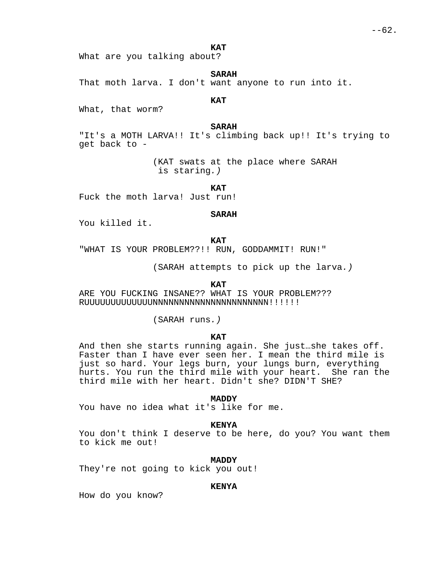What are you talking about?

**SARAH**

That moth larva. I don't want anyone to run into it.

# **KAT**

What, that worm?

### **SARAH**

"It's a MOTH LARVA!! It's climbing back up!! It's trying to get back to -

> (KAT swats at the place where SARAH is staring.)

> > **KAT**

Fuck the moth larva! Just run!

#### **SARAH**

You killed it.

**KAT**

"WHAT IS YOUR PROBLEM??!! RUN, GODDAMMIT! RUN!"

(SARAH attempts to pick up the larva.)

**KAT**

ARE YOU FUCKING INSANE?? WHAT IS YOUR PROBLEM??? RUUUUUUUUUUUUUNNNNNNNNNNNNNNNNNNNNNN!!!!!!

(SARAH runs.)

# **KAT**

And then she starts running again. She just…she takes off. Faster than I have ever seen her. I mean the third mile is just so hard. Your legs burn, your lungs burn, everything hurts. You run the third mile with your heart. She ran the third mile with her heart. Didn't she? DIDN'T SHE?

**MADDY**

You have no idea what it's like for me.

### **KENYA**

You don't think I deserve to be here, do you? You want them to kick me out!

### **MADDY**

They're not going to kick you out!

### **KENYA**

How do you know?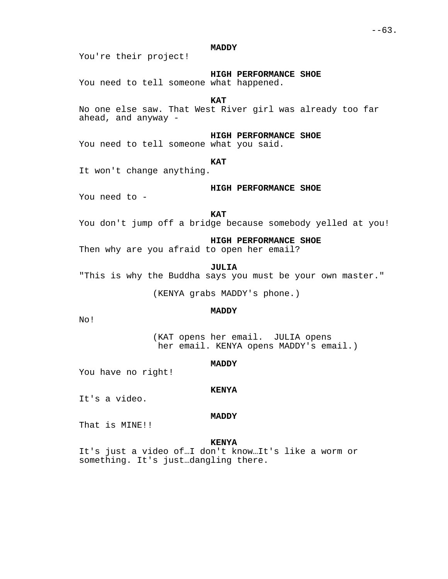# **MADDY**

You're their project!

**HIGH PERFORMANCE SHOE**

You need to tell someone what happened.

**KAT**

No one else saw. That West River girl was already too far ahead, and anyway -

**HIGH PERFORMANCE SHOE**

You need to tell someone what you said.

**KAT**

It won't change anything.

### **HIGH PERFORMANCE SHOE**

You need to -

### **KAT**

You don't jump off a bridge because somebody yelled at you!

**HIGH PERFORMANCE SHOE**

Then why are you afraid to open her email?

### **JULIA**

"This is why the Buddha says you must be your own master."

(KENYA grabs MADDY's phone.)

### **MADDY**

No!

(KAT opens her email. JULIA opens her email. KENYA opens MADDY's email.)

### **MADDY**

You have no right!

#### **KENYA**

It's a video.

#### **MADDY**

That is MINE!!

### **KENYA**

It's just a video of…I don't know…It's like a worm or something. It's just…dangling there.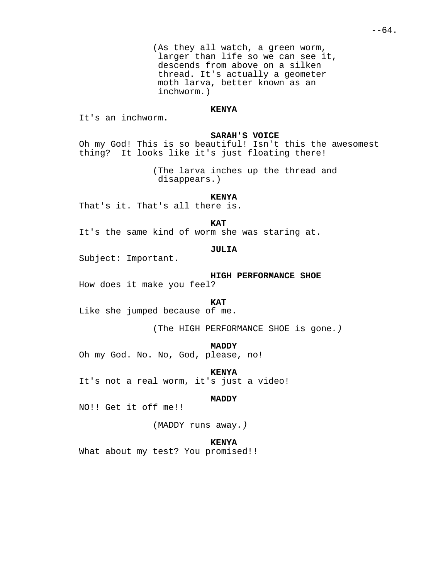(As they all watch, a green worm, larger than life so we can see it, descends from above on a silken thread. It's actually a geometer moth larva, better known as an inchworm.)

# **KENYA**

It's an inchworm.

### **SARAH'S VOICE**

Oh my God! This is so beautiful! Isn't this the awesomest thing? It looks like it's just floating there!

> (The larva inches up the thread and disappears.)

# **KENYA**

That's it. That's all there is.

**KAT**

It's the same kind of worm she was staring at.

# **JULIA**

Subject: Important.

**HIGH PERFORMANCE SHOE**

How does it make you feel?

### **KAT**

Like she jumped because of me.

(The HIGH PERFORMANCE SHOE is gone.)

### **MADDY**

Oh my God. No. No, God, please, no!

**KENYA**

It's not a real worm, it's just a video!

### **MADDY**

NO!! Get it off me!!

(MADDY runs away.)

### **KENYA**

What about my test? You promised!!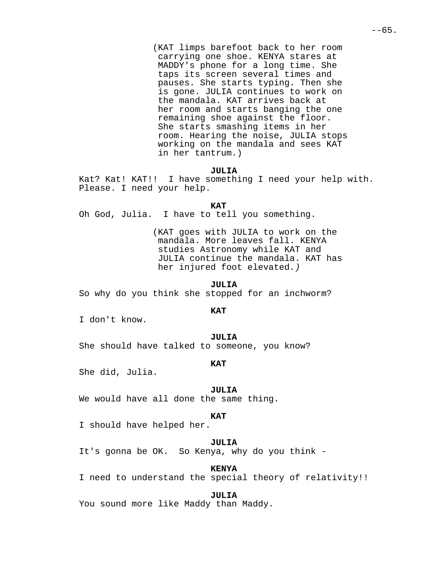(KAT limps barefoot back to her room carrying one shoe. KENYA stares at MADDY's phone for a long time. She taps its screen several times and pauses. She starts typing. Then she is gone. JULIA continues to work on the mandala. KAT arrives back at her room and starts banging the one remaining shoe against the floor. She starts smashing items in her room. Hearing the noise, JULIA stops working on the mandala and sees KAT in her tantrum.)

# **JULIA**

Kat? Kat! KAT!! I have something I need your help with. Please. I need your help.

**KAT**

Oh God, Julia. I have to tell you something.

(KAT goes with JULIA to work on the mandala. More leaves fall. KENYA studies Astronomy while KAT and JULIA continue the mandala. KAT has her injured foot elevated.)

# **JULIA**

So why do you think she stopped for an inchworm?

### **KAT**

I don't know.

### **JULIA**

She should have talked to someone, you know?

# **KAT**

She did, Julia.

### **JULIA**

We would have all done the same thing.

#### **KAT**

I should have helped her.

#### **JULIA**

It's gonna be OK. So Kenya, why do you think -

### **KENYA**

I need to understand the special theory of relativity!!

**JULIA**

You sound more like Maddy than Maddy.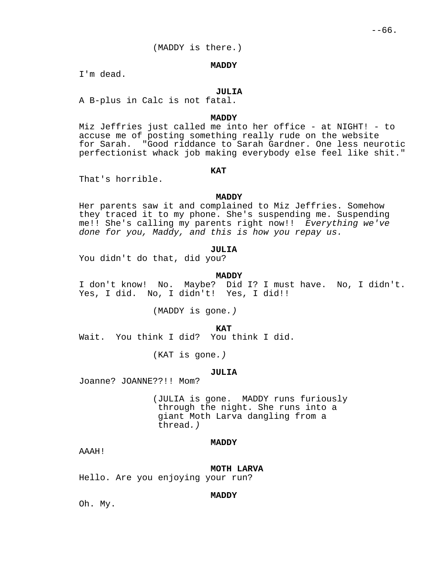(MADDY is there.)

#### **MADDY**

I'm dead.

### **JULIA**

A B-plus in Calc is not fatal.

### **MADDY**

Miz Jeffries just called me into her office - at NIGHT! - to accuse me of posting something really rude on the website for Sarah. "Good riddance to Sarah Gardner. One less neurotic perfectionist whack job making everybody else feel like shit."

# **KAT**

That's horrible.

# **MADDY**

Her parents saw it and complained to Miz Jeffries. Somehow they traced it to my phone. She's suspending me. Suspending me!! She's calling my parents right now!! Everything we've done for you, Maddy, and this is how you repay us.

# **JULIA**

You didn't do that, did you?

#### **MADDY**

I don't know! No. Maybe? Did I? I must have. No, I didn't. Yes, I did. No, I didn't! Yes, I did!!

(MADDY is gone.)

 **KAT**

Wait. You think I did? You think I did.

(KAT is gone.)

#### **JULIA**

Joanne? JOANNE??!! Mom?

(JULIA is gone. MADDY runs furiously through the night. She runs into a giant Moth Larva dangling from a thread.)

# **MADDY**

AAAH!

**MOTH LARVA** Hello. Are you enjoying your run?

# **MADDY**

Oh. My.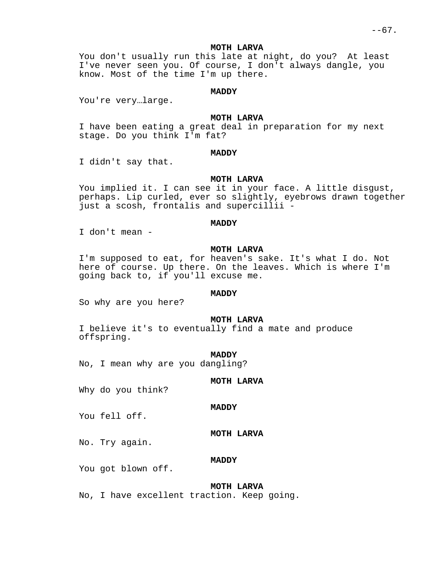### **MOTH LARVA**

You don't usually run this late at night, do you? At least I've never seen you. Of course, I don't always dangle, you know. Most of the time I'm up there.

# **MADDY**

You're very…large.

# **MOTH LARVA**

I have been eating a great deal in preparation for my next stage. Do you think I'm fat?

# **MADDY**

I didn't say that.

### **MOTH LARVA**

You implied it. I can see it in your face. A little disgust, perhaps. Lip curled, ever so slightly, eyebrows drawn together just a scosh, frontalis and supercillii -

#### **MADDY**

I don't mean -

# **MOTH LARVA**

I'm supposed to eat, for heaven's sake. It's what I do. Not here of course. Up there. On the leaves. Which is where I'm going back to, if you'll excuse me.

# **MADDY**

So why are you here?

#### **MOTH LARVA**

I believe it's to eventually find a mate and produce offspring.

#### **MADDY**

No, I mean why are you dangling?

# **MOTH LARVA**

**MOTH LARVA**

Why do you think?

# **MADDY**

You fell off.

No. Try again.

### **MADDY**

You got blown off.

### **MOTH LARVA**

No, I have excellent traction. Keep going.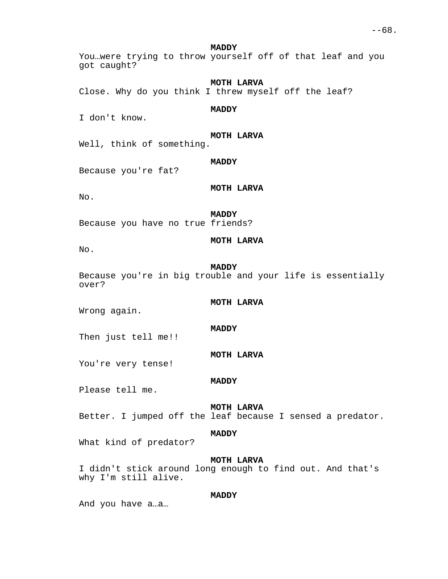**MADDY**

You…were trying to throw yourself off of that leaf and you got caught?

**MOTH LARVA**

Close. Why do you think I threw myself off the leaf?

# **MADDY**

I don't know.

**MOTH LARVA**

Well, think of something.

### **MADDY**

Because you're fat?

**MOTH LARVA**

No.

# **MADDY**

Because you have no true friends?

# **MOTH LARVA**

No.

### **MADDY**

**MADDY**

**MADDY**

Because you're in big trouble and your life is essentially over?

# **MOTH LARVA**

Wrong again.

Then just tell me!!

# **MOTH LARVA**

You're very tense!

Please tell me.

### **MOTH LARVA**

Better. I jumped off the leaf because I sensed a predator.

# **MADDY**

What kind of predator?

# **MOTH LARVA**

I didn't stick around long enough to find out. And that's why I'm still alive.

# **MADDY**

And you have a…a…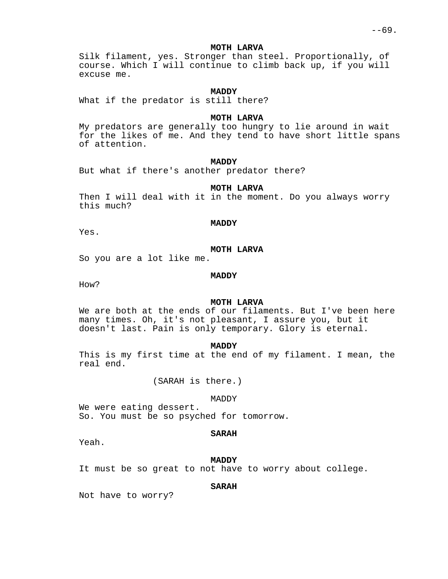### **MOTH LARVA**

Silk filament, yes. Stronger than steel. Proportionally, of course. Which I will continue to climb back up, if you will excuse me.

# **MADDY**

What if the predator is still there?

### **MOTH LARVA**

My predators are generally too hungry to lie around in wait for the likes of me. And they tend to have short little spans of attention.

# **MADDY**

But what if there's another predator there?

### **MOTH LARVA**

Then I will deal with it in the moment. Do you always worry this much?

#### **MADDY**

Yes.

# **MOTH LARVA**

So you are a lot like me.

### **MADDY**

How?

# **MOTH LARVA**

We are both at the ends of our filaments. But I've been here many times. Oh, it's not pleasant, I assure you, but it doesn't last. Pain is only temporary. Glory is eternal.

### **MADDY**

This is my first time at the end of my filament. I mean, the real end.

(SARAH is there.)

### MADDY

We were eating dessert. So. You must be so psyched for tomorrow.

### **SARAH**

Yeah.

### **MADDY**

It must be so great to not have to worry about college.

# **SARAH**

Not have to worry?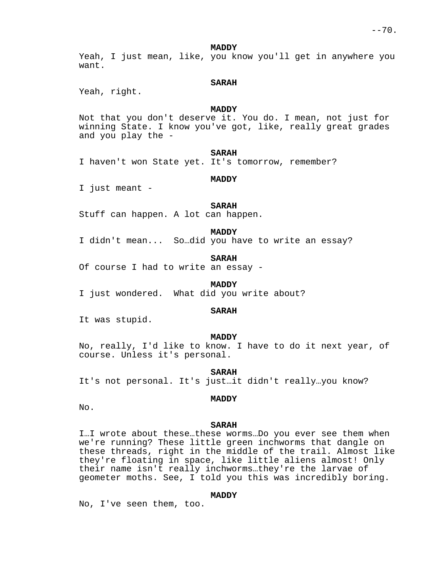**MADDY**

Yeah, I just mean, like, you know you'll get in anywhere you want.

### **SARAH**

Yeah, right.

# **MADDY**

Not that you don't deserve it. You do. I mean, not just for winning State. I know you've got, like, really great grades and you play the -

#### **SARAH**

I haven't won State yet. It's tomorrow, remember?

### **MADDY**

I just meant -

# **SARAH**

Stuff can happen. A lot can happen.

# **MADDY**

I didn't mean... So…did you have to write an essay?

#### **SARAH**

Of course I had to write an essay -

#### **MADDY**

I just wondered. What did you write about?

### **SARAH**

It was stupid.

### **MADDY**

No, really, I'd like to know. I have to do it next year, of course. Unless it's personal.

#### **SARAH**

It's not personal. It's just…it didn't really…you know?

### **MADDY**

No.

#### **SARAH**

I…I wrote about these…these worms…Do you ever see them when we're running? These little green inchworms that dangle on these threads, right in the middle of the trail. Almost like they're floating in space, like little aliens almost! Only their name isn't really inchworms…they're the larvae of geometer moths. See, I told you this was incredibly boring.

# **MADDY**

No, I've seen them, too.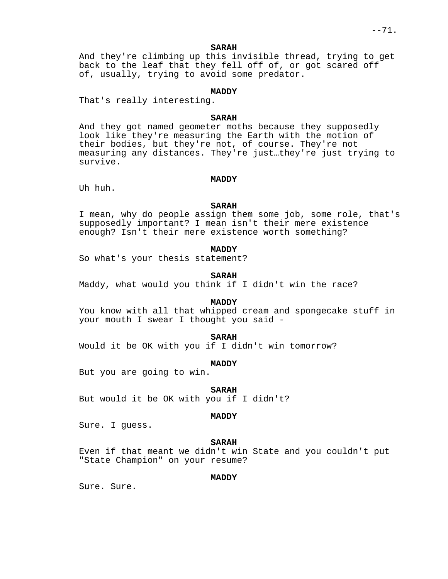# **SARAH**

And they're climbing up this invisible thread, trying to get back to the leaf that they fell off of, or got scared off of, usually, trying to avoid some predator.

# **MADDY**

That's really interesting.

### **SARAH**

And they got named geometer moths because they supposedly look like they're measuring the Earth with the motion of their bodies, but they're not, of course. They're not measuring any distances. They're just…they're just trying to survive.

#### **MADDY**

Uh huh.

# **SARAH**

I mean, why do people assign them some job, some role, that's supposedly important? I mean isn't their mere existence enough? Isn't their mere existence worth something?

# **MADDY**

So what's your thesis statement?

#### **SARAH**

Maddy, what would you think if I didn't win the race?

# **MADDY**

You know with all that whipped cream and spongecake stuff in your mouth I swear I thought you said -

#### **SARAH**

Would it be OK with you if I didn't win tomorrow?

#### **MADDY**

But you are going to win.

### **SARAH**

But would it be OK with you if I didn't?

### **MADDY**

Sure. I guess.

### **SARAH**

Even if that meant we didn't win State and you couldn't put "State Champion" on your resume?

# **MADDY**

Sure. Sure.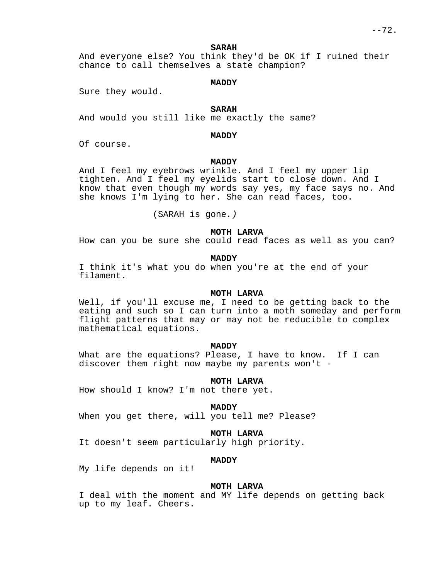#### **SARAH**

And everyone else? You think they'd be OK if I ruined their chance to call themselves a state champion?

### **MADDY**

Sure they would.

# **SARAH**

And would you still like me exactly the same?

**MADDY**

Of course.

# **MADDY**

And I feel my eyebrows wrinkle. And I feel my upper lip tighten. And I feel my eyelids start to close down. And I know that even though my words say yes, my face says no. And she knows I'm lying to her. She can read faces, too.

(SARAH is gone.)

### **MOTH LARVA**

How can you be sure she could read faces as well as you can?

## **MADDY**

I think it's what you do when you're at the end of your filament.

#### **MOTH LARVA**

Well, if you'll excuse me, I need to be getting back to the eating and such so I can turn into a moth someday and perform flight patterns that may or may not be reducible to complex mathematical equations.

#### **MADDY**

What are the equations? Please, I have to know. If I can discover them right now maybe my parents won't -

### **MOTH LARVA**

How should I know? I'm not there yet.

### **MADDY**

When you get there, will you tell me? Please?

### **MOTH LARVA**

It doesn't seem particularly high priority.

### **MADDY**

My life depends on it!

### **MOTH LARVA**

I deal with the moment and MY life depends on getting back up to my leaf. Cheers.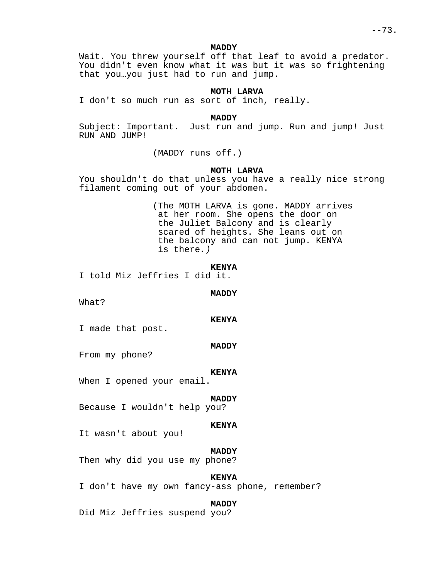### **MADDY**

Wait. You threw yourself off that leaf to avoid a predator. You didn't even know what it was but it was so frightening that you…you just had to run and jump.

# **MOTH LARVA**

I don't so much run as sort of inch, really.

### **MADDY**

Subject: Important. Just run and jump. Run and jump! Just RUN AND JUMP!

(MADDY runs off.)

# **MOTH LARVA**

You shouldn't do that unless you have a really nice strong filament coming out of your abdomen.

> (The MOTH LARVA is gone. MADDY arrives at her room. She opens the door on the Juliet Balcony and is clearly scared of heights. She leans out on the balcony and can not jump. KENYA is there.)

#### **KENYA**

I told Miz Jeffries I did it.

#### **MADDY**

What?

#### **KENYA**

I made that post.

#### **MADDY**

From my phone?

#### **KENYA**

When I opened your email.

## **MADDY**

Because I wouldn't help you?

### **KENYA**

It wasn't about you!

#### **MADDY**

Then why did you use my phone?

### **KENYA**

I don't have my own fancy-ass phone, remember?

#### **MADDY**

Did Miz Jeffries suspend you?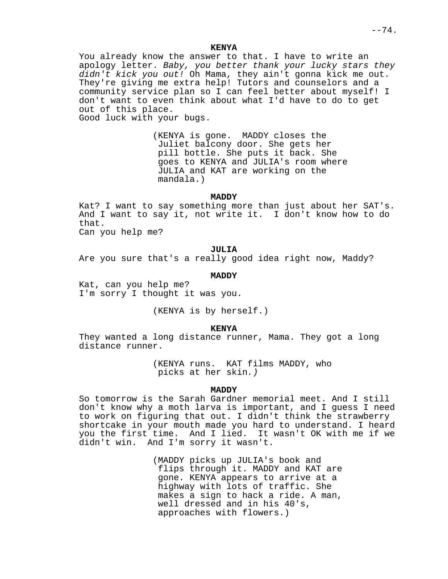You already know the answer to that. I have to write an apology letter. Baby, you better thank your lucky stars they didn't kick you out! Oh Mama, they ain't gonna kick me out. They're giving me extra help! Tutors and counselors and a community service plan so I can feel better about myself! I don't want to even think about what I'd have to do to get out of this place.

Good luck with your bugs.

(KENYA is gone. MADDY closes the Juliet balcony door. She gets her pill bottle. She puts it back. She goes to KENYA and JULIA's room where JULIA and KAT are working on the mandala.)

## **MADDY**

Kat? I want to say something more than just about her SAT's. And I want to say it, not write it. I don't know how to do that.

Can you help me?

### **JULIA**

Are you sure that's a really good idea right now, Maddy?

#### **MADDY**

Kat, can you help me? I'm sorry I thought it was you.

(KENYA is by herself.)

#### **KENYA**

They wanted a long distance runner, Mama. They got a long distance runner.

> (KENYA runs. KAT films MADDY, who picks at her skin.)

## **MADDY**

So tomorrow is the Sarah Gardner memorial meet. And I still don't know why a moth larva is important, and I guess I need to work on figuring that out. I didn't think the strawberry shortcake in your mouth made you hard to understand. I heard you the first time. And I lied. It wasn't OK with me if we didn't win. And I'm sorry it wasn't.

> (MADDY picks up JULIA's book and flips through it. MADDY and KAT are gone. KENYA appears to arrive at a highway with lots of traffic. She makes a sign to hack a ride. A man, well dressed and in his 40's, approaches with flowers.)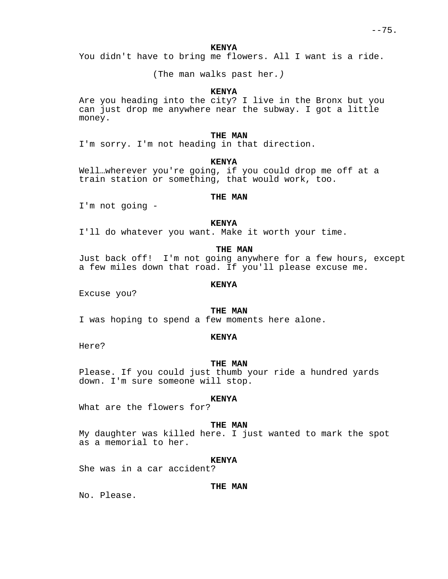You didn't have to bring me flowers. All I want is a ride.

(The man walks past her.)

# **KENYA**

Are you heading into the city? I live in the Bronx but you can just drop me anywhere near the subway. I got a little money.

### **THE MAN**

I'm sorry. I'm not heading in that direction.

# **KENYA**

Well…wherever you're going, if you could drop me off at a train station or something, that would work, too.

### **THE MAN**

I'm not going -

#### **KENYA**

I'll do whatever you want. Make it worth your time.

## **THE MAN**

Just back off! I'm not going anywhere for a few hours, except a few miles down that road. If you'll please excuse me.

### **KENYA**

Excuse you?

### **THE MAN**

I was hoping to spend a few moments here alone.

#### **KENYA**

Here?

#### **THE MAN**

Please. If you could just thumb your ride a hundred yards down. I'm sure someone will stop.

### **KENYA**

What are the flowers for?

#### **THE MAN**

My daughter was killed here. I just wanted to mark the spot as a memorial to her.

### **KENYA**

She was in a car accident?

### **THE MAN**

No. Please.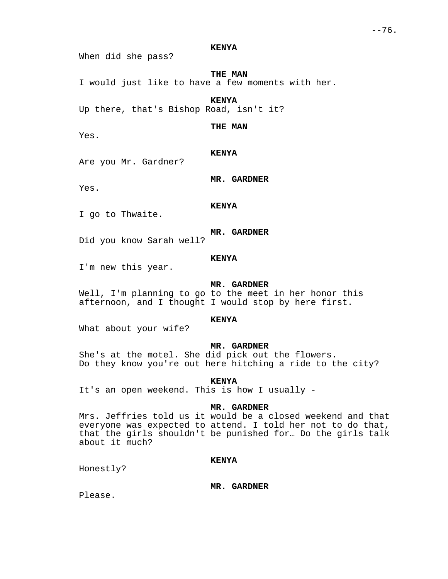When did she pass?

**THE MAN**

I would just like to have a few moments with her.

**KENYA**

Up there, that's Bishop Road, isn't it?

**THE MAN**

Yes.

**KENYA**

Are you Mr. Gardner?

Yes.

**MR. GARDNER**

**KENYA**

I go to Thwaite.

**MR. GARDNER**

Did you know Sarah well?

### **KENYA**

I'm new this year.

### **MR. GARDNER**

Well, I'm planning to go to the meet in her honor this afternoon, and I thought I would stop by here first.

### **KENYA**

What about your wife?

# **MR. GARDNER**

She's at the motel. She did pick out the flowers. Do they know you're out here hitching a ride to the city?

**KENYA**

It's an open weekend. This is how I usually -

## **MR. GARDNER**

Mrs. Jeffries told us it would be a closed weekend and that everyone was expected to attend. I told her not to do that, that the girls shouldn't be punished for… Do the girls talk about it much?

# **KENYA**

Honestly?

**MR. GARDNER**

Please.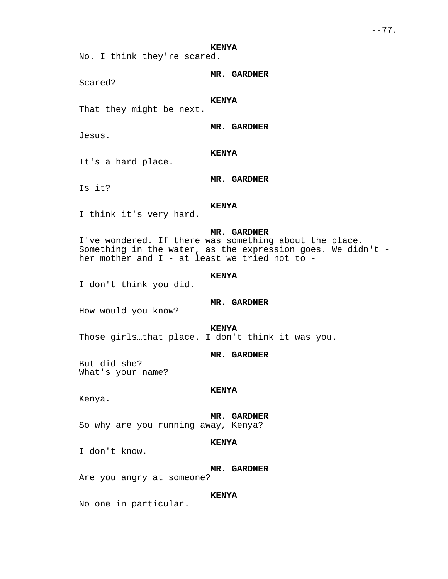No. I think they're scared.

Scared?

### **KENYA**

That they might be next.

**MR. GARDNER**

**MR. GARDNER**

Jesus.

**KENYA**

It's a hard place.

**MR. GARDNER**

Is it?

# **KENYA**

I think it's very hard.

# **MR. GARDNER**

I've wondered. If there was something about the place. Something in the water, as the expression goes. We didn't her mother and  $I$  - at least we tried not to -

### **KENYA**

I don't think you did.

# **MR. GARDNER**

How would you know?

**KENYA**

Those girls…that place. I don't think it was you.

#### **MR. GARDNER**

But did she? What's your name?

#### **KENYA**

Kenya.

#### **MR. GARDNER**

So why are you running away, Kenya?

# **KENYA**

I don't know.

#### **MR. GARDNER**

Are you angry at someone?

# **KENYA**

No one in particular.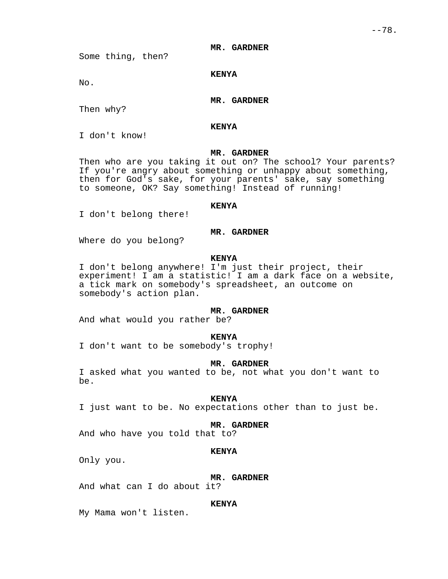### **MR. GARDNER**

Some thing, then?

### **KENYA**

No.

# **MR. GARDNER**

Then why?

### **KENYA**

I don't know!

# **MR. GARDNER**

Then who are you taking it out on? The school? Your parents? If you're angry about something or unhappy about something, then for God's sake, for your parents' sake, say something to someone, OK? Say something! Instead of running!

### **KENYA**

I don't belong there!

### **MR. GARDNER**

Where do you belong?

# **KENYA**

I don't belong anywhere! I'm just their project, their experiment! I am a statistic! I am a dark face on a website, a tick mark on somebody's spreadsheet, an outcome on somebody's action plan.

# **MR. GARDNER**

And what would you rather be?

#### **KENYA**

I don't want to be somebody's trophy!

## **MR. GARDNER**

I asked what you wanted to be, not what you don't want to be.

### **KENYA**

I just want to be. No expectations other than to just be.

#### **MR. GARDNER**

And who have you told that to?

# **KENYA**

Only you.

### **MR. GARDNER**

And what can I do about it?

#### **KENYA**

My Mama won't listen.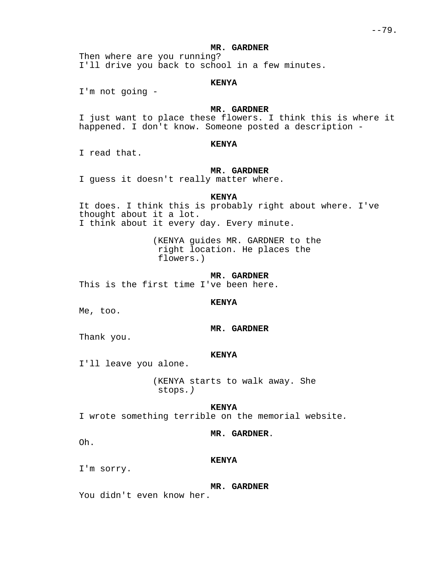### **MR. GARDNER**

Then where are you running? I'll drive you back to school in a few minutes.

### **KENYA**

I'm not going -

### **MR. GARDNER**

I just want to place these flowers. I think this is where it happened. I don't know. Someone posted a description -

# **KENYA**

I read that.

### **MR. GARDNER**

I guess it doesn't really matter where.

### **KENYA**

It does. I think this is probably right about where. I've thought about it a lot. I think about it every day. Every minute.

> (KENYA guides MR. GARDNER to the right location. He places the flowers.)

> > **MR. GARDNER**

This is the first time I've been here.

# **KENYA**

Me, too.

# **MR. GARDNER**

Thank you.

#### **KENYA**

I'll leave you alone.

(KENYA starts to walk away. She stops.)

#### **KENYA**

I wrote something terrible on the memorial website.

### **MR. GARDNER**.

Oh.

#### **KENYA**

I'm sorry.

#### **MR. GARDNER**

You didn't even know her.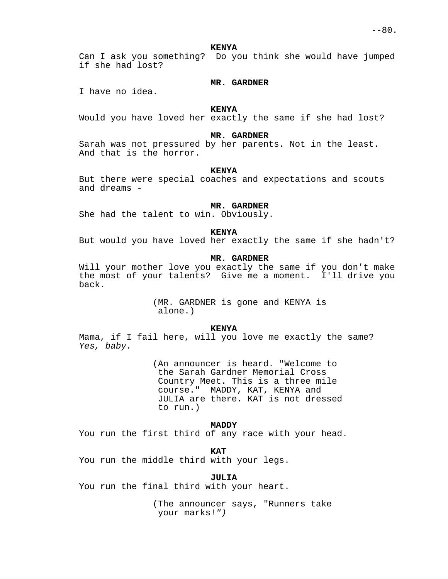Can I ask you something? Do you think she would have jumped if she had lost?

#### **MR. GARDNER**

I have no idea.

## **KENYA**

Would you have loved her exactly the same if she had lost?

### **MR. GARDNER**

Sarah was not pressured by her parents. Not in the least. And that is the horror.

#### **KENYA**

But there were special coaches and expectations and scouts and dreams -

### **MR**. **GARDNER**

She had the talent to win. Obviously.

### **KENYA**

But would you have loved her exactly the same if she hadn't?

# **MR**. **GARDNER**

Will your mother love you exactly the same if you don't make the most of your talents? Give me a moment. I'll drive you back.

> (MR. GARDNER is gone and KENYA is alone.)

#### **KENYA**

Mama, if I fail here, will you love me exactly the same? Yes, baby.

> (An announcer is heard. "Welcome to the Sarah Gardner Memorial Cross Country Meet. This is a three mile course." MADDY, KAT, KENYA and JULIA are there. KAT is not dressed to run.)

#### **MADDY**

You run the first third of any race with your head.

**KAT**

You run the middle third with your legs.

### **JULIA**

You run the final third with your heart.

(The announcer says, "Runners take your marks!")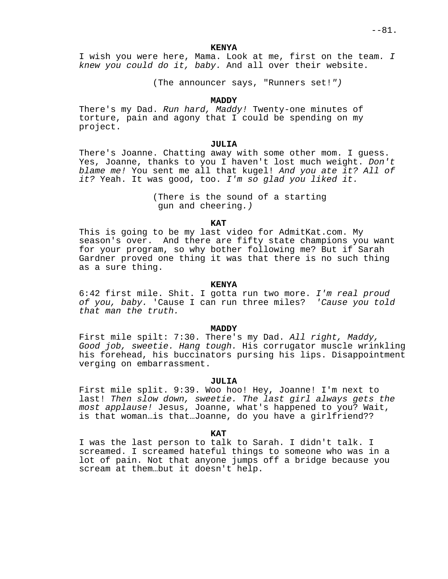I wish you were here, Mama. Look at me, first on the team. I knew you could do it, baby. And all over their website.

(The announcer says, "Runners set!")

## **MADDY**

There's my Dad. Run hard, Maddy! Twenty-one minutes of torture, pain and agony that I could be spending on my project.

### **JULIA**

There's Joanne. Chatting away with some other mom. I guess. Yes, Joanne, thanks to you I haven't lost much weight. Don't blame me! You sent me all that kugel! And you ate it? All of it? Yeah. It was good, too. I'm so glad you liked it.

> (There is the sound of a starting gun and cheering.)

#### **KAT**

This is going to be my last video for AdmitKat.com. My season's over. And there are fifty state champions you want for your program, so why bother following me? But if Sarah Gardner proved one thing it was that there is no such thing as a sure thing.

### **KENYA**

6:42 first mile. Shit. I gotta run two more. I'm real proud of you, baby. 'Cause I can run three miles? 'Cause you told that man the truth.

#### **MADDY**

First mile spilt: 7:30. There's my Dad. All right, Maddy, Good job, sweetie. Hang tough. His corrugator muscle wrinkling his forehead, his buccinators pursing his lips. Disappointment verging on embarrassment.

### **JULIA**

First mile split. 9:39. Woo hoo! Hey, Joanne! I'm next to last! Then slow down, sweetie. The last girl always gets the most applause! Jesus, Joanne, what's happened to you? Wait, is that woman…is that…Joanne, do you have a girlfriend??

**KAT**

I was the last person to talk to Sarah. I didn't talk. I screamed. I screamed hateful things to someone who was in a lot of pain. Not that anyone jumps off a bridge because you scream at them…but it doesn't help.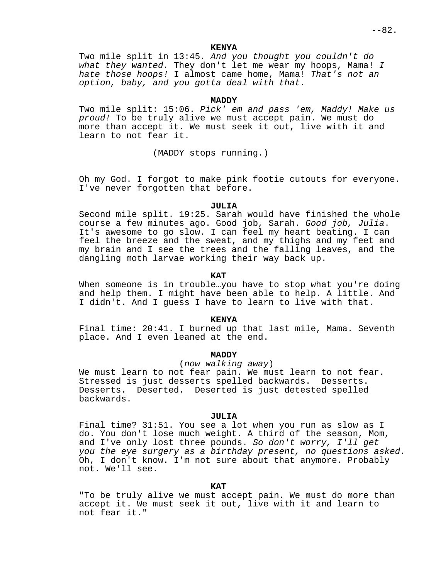$--82.$ 

#### **KENYA**

Two mile split in 13:45. And you thought you couldn't do what they wanted. They don't let me wear my hoops, Mama!  $I$ hate those hoops! I almost came home, Mama! That's not an option, baby, and you gotta deal with that.

### **MADDY**

Two mile split: 15:06. Pick' em and pass 'em, Maddy! Make us proud! To be truly alive we must accept pain. We must do more than accept it. We must seek it out, live with it and learn to not fear it.

(MADDY stops running.)

Oh my God. I forgot to make pink footie cutouts for everyone. I've never forgotten that before.

## **JULIA**

Second mile split. 19:25. Sarah would have finished the whole course a few minutes ago. Good job, Sarah. Good job, Julia. It's awesome to go slow. I can feel my heart beating. I can feel the breeze and the sweat, and my thighs and my feet and my brain and I see the trees and the falling leaves, and the dangling moth larvae working their way back up.

### **KAT**

When someone is in trouble…you have to stop what you're doing and help them. I might have been able to help. A little. And I didn't. And I guess I have to learn to live with that.

#### **KENYA**

Final time: 20:41. I burned up that last mile, Mama. Seventh place. And I even leaned at the end.

# **MADDY**

### (now walking away)

We must learn to not fear pain. We must learn to not fear. Stressed is just desserts spelled backwards. Desserts. Desserts. Deserted. Deserted is just detested spelled backwards.

#### **JULIA**

Final time? 31:51. You see a lot when you run as slow as I do. You don't lose much weight. A third of the season, Mom, and I've only lost three pounds. So don't worry, I'll get you the eye surgery as a birthday present, no questions asked. Oh, I don't know. I'm not sure about that anymore. Probably not. We'll see.

# **KAT**

"To be truly alive we must accept pain. We must do more than accept it. We must seek it out, live with it and learn to not fear it."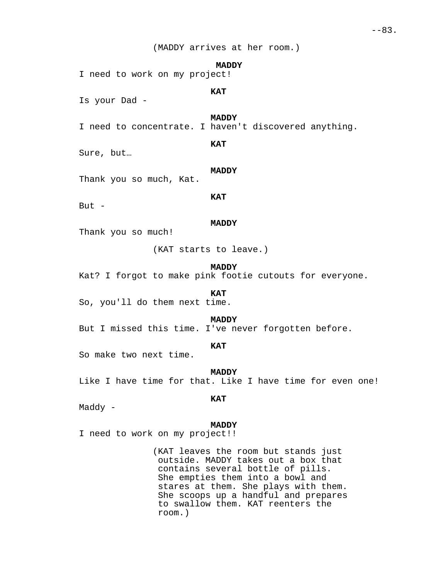(MADDY arrives at her room.)

#### **MADDY**

I need to work on my project!

**KAT**

Is your Dad -

# **MADDY**

I need to concentrate. I haven't discovered anything.

**KAT**

Sure, but…

### **MADDY**

Thank you so much, Kat.

## **KAT**

But  $-$ 

#### **MADDY**

Thank you so much!

(KAT starts to leave.)

**MADDY**

Kat? I forgot to make pink footie cutouts for everyone.

**KAT**

So, you'll do them next time.

# **MADDY**

But I missed this time. I've never forgotten before.

## **KAT**

So make two next time.

**MADDY** Like I have time for that. Like I have time for even one!

# **KAT**

Maddy -

#### **MADDY**

I need to work on my project!!

(KAT leaves the room but stands just outside. MADDY takes out a box that contains several bottle of pills. She empties them into a bowl and stares at them. She plays with them. She scoops up a handful and prepares to swallow them. KAT reenters the room.)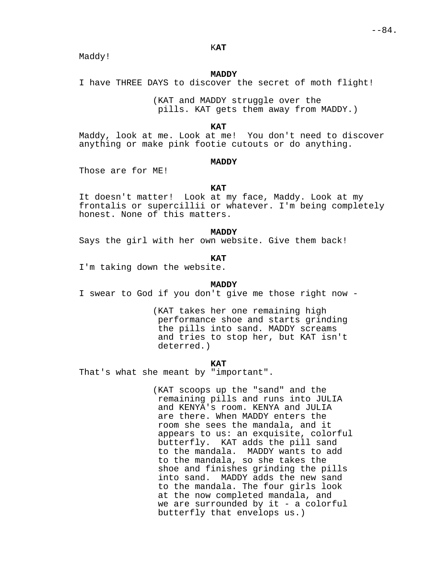Maddy!

### **MADDY**

I have THREE DAYS to discover the secret of moth flight!

(KAT and MADDY struggle over the pills. KAT gets them away from MADDY.)

### **KAT**

Maddy, look at me. Look at me! You don't need to discover anything or make pink footie cutouts or do anything.

#### **MADDY**

Those are for ME!

### **KAT**

It doesn't matter! Look at my face, Maddy. Look at my frontalis or supercillii or whatever. I'm being completely honest. None of this matters.

#### **MADDY**

Says the girl with her own website. Give them back!

#### **KAT**

I'm taking down the website.

# **MADDY**

I swear to God if you don't give me those right now -

(KAT takes her one remaining high performance shoe and starts grinding the pills into sand. MADDY screams and tries to stop her, but KAT isn't deterred.)

#### **KAT**

That's what she meant by "important".

(KAT scoops up the "sand" and the remaining pills and runs into JULIA and KENYA's room. KENYA and JULIA are there. When MADDY enters the room she sees the mandala, and it appears to us: an exquisite, colorful butterfly. KAT adds the pill sand to the mandala. MADDY wants to add to the mandala, so she takes the shoe and finishes grinding the pills into sand. MADDY adds the new sand to the mandala. The four girls look at the now completed mandala, and we are surrounded by  $it - a$  colorful butterfly that envelops us.)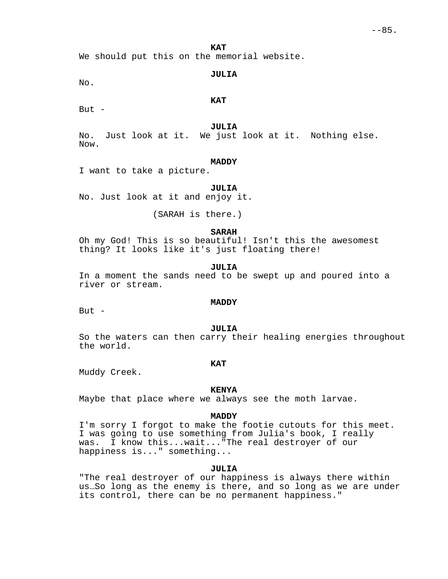**KAT**

We should put this on the memorial website.

### **JULIA**

No.

# **KAT**

But  $-$ 

## **JULIA**

No. Just look at it. We just look at it. Nothing else. Now.

### **MADDY**

I want to take a picture.

# **JULIA**

No. Just look at it and enjoy it.

(SARAH is there.)

### **SARAH**

Oh my God! This is so beautiful! Isn't this the awesomest thing? It looks like it's just floating there!

### **JULIA**

In a moment the sands need to be swept up and poured into a river or stream.

# **MADDY**

But  $-$ 

#### **JULIA**

So the waters can then carry their healing energies throughout the world.

## **KAT**

Muddy Creek.

## **KENYA**

Maybe that place where we always see the moth larvae.

#### **MADDY**

I'm sorry I forgot to make the footie cutouts for this meet. I was going to use something from Julia's book, I really was. I know this...wait..."The real destroyer of our happiness is..." something...

### **JULIA**

"The real destroyer of our happiness is always there within us…So long as the enemy is there, and so long as we are under its control, there can be no permanent happiness."